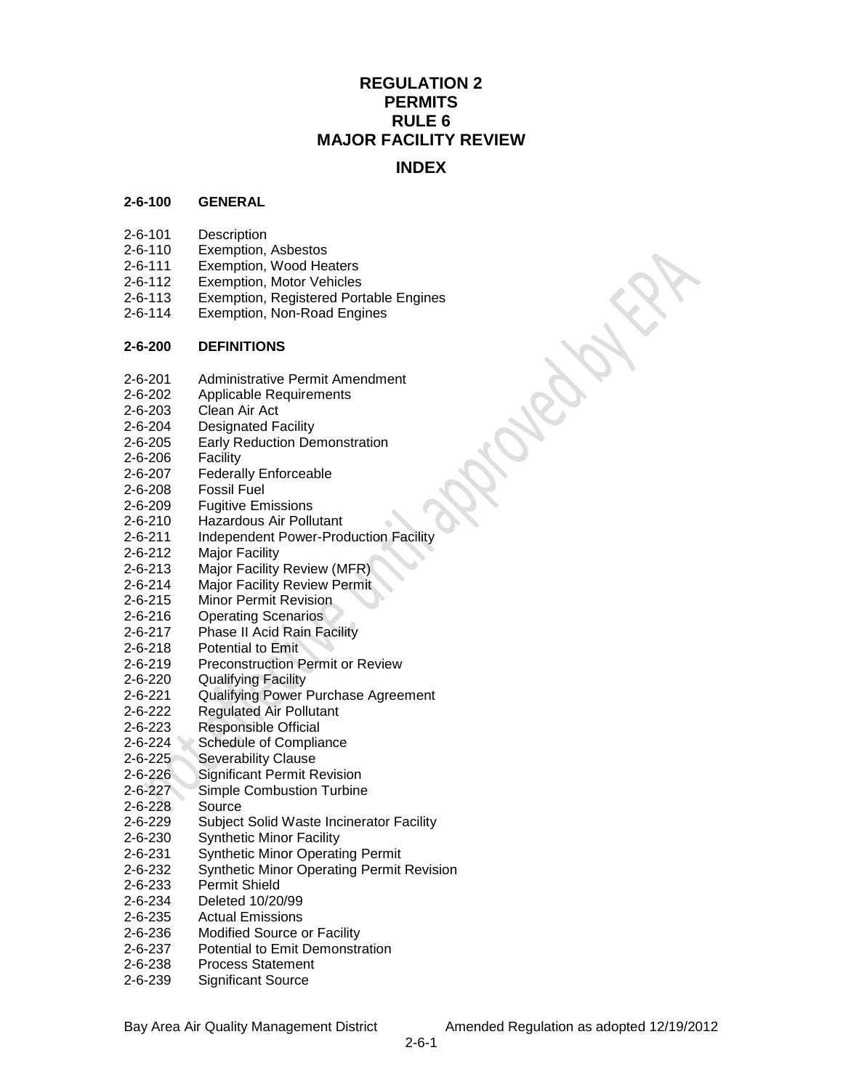# **REGULATION 2 PERMITS RULE 6 MAJOR FACILITY REVIEW**

## **INDEX**

#### **2-6-100 GENERAL**

- 2-6-101 Description
- 2-6-110 Exemption, Asbestos
- 2-6-111 Exemption, Wood Heaters
- 2-6-112 Exemption, Motor Vehicles
- 2-6-113 Exemption, Registered Portable Engines
- 2-6-114 Exemption, Non-Road Engines

#### **2-6-200 DEFINITIONS**

- 2-6-201 Administrative Permit Amendment
- 2-6-202 Applicable Requirements
- 2-6-203 Clean Air Act
- 2-6-204 Designated Facility
- 2-6-205 Early Reduction Demonstration
- 2-6-206 Facility
- 2-6-207 Federally Enforceable
- 2-6-208 Fossil Fuel
- 2-6-209 Fugitive Emissions
- 2-6-210 Hazardous Air Pollutant
- 2-6-211 Independent Power-Production Facility
- 2-6-212 Major Facility
- 2-6-213 Major Facility Review (MFR)
- 2-6-214 Major Facility Review Permit
- 2-6-215 Minor Permit Revision
- 2-6-216 Operating Scenarios
- 2-6-217 Phase II Acid Rain Facility
- 2-6-218 Potential to Emit
- 2-6-219 Preconstruction Permit or Review
- 2-6-220 Qualifying Facility
- 2-6-221 Qualifying Power Purchase Agreement
- 2-6-222 Regulated Air Pollutant
- 
- 2-6-223 Responsible Official<br>2-6-224 Schedule of Complia Schedule of Compliance
- 2-6-225 Severability Clause
- 2-6-226 Significant Permit Revision
- 2-6-227 Simple Combustion Turbine
- 2-6-228 Source
- 2-6-229 Subject Solid Waste Incinerator Facility
- 2-6-230 Synthetic Minor Facility
- 2-6-231 Synthetic Minor Operating Permit
- 2-6-232 Synthetic Minor Operating Permit Revision
- 2-6-233 Permit Shield
- 2-6-234 Deleted 10/20/99
- 2-6-235 Actual Emissions
- 2-6-236 Modified Source or Facility
- 2-6-237 Potential to Emit Demonstration
- 2-6-238 Process Statement
- 2-6-239 Significant Source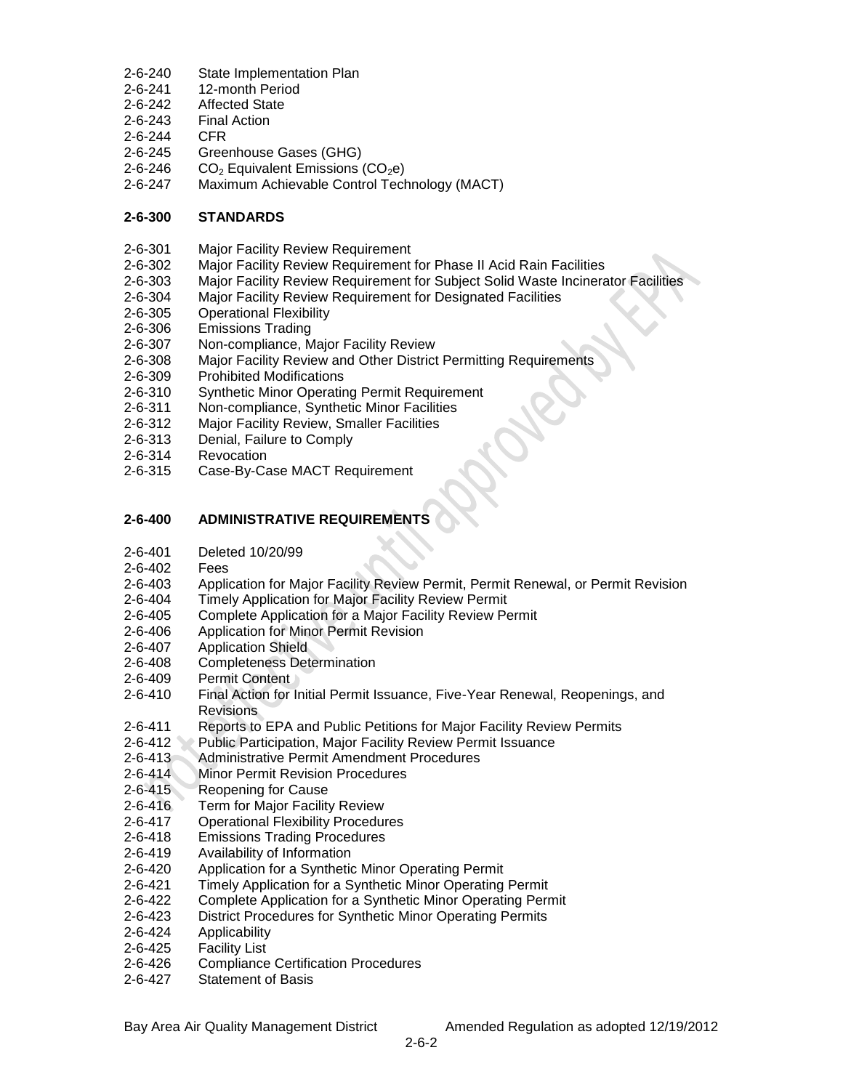- 2-6-240 State Implementation Plan
- 2-6-241 12-month Period
- 2-6-242 Affected State
- 2-6-243 Final Action
- 2-6-244 CFR
- 2-6-245 Greenhouse Gases (GHG)
- 2-6-246  $CO<sub>2</sub>$  Equivalent Emissions (CO<sub>2</sub>e)
- 2-6-247 Maximum Achievable Control Technology (MACT)

## **2-6-300 STANDARDS**

- 2-6-301 Major Facility Review Requirement
- 2-6-302 Major Facility Review Requirement for Phase II Acid Rain Facilities
- 2-6-303 Major Facility Review Requirement for Subject Solid Waste Incinerator Facilities
- 2-6-304 Major Facility Review Requirement for Designated Facilities
- 2-6-305 Operational Flexibility
- 2-6-306 Emissions Trading
- 2-6-307 Non-compliance, Major Facility Review
- 2-6-308 Major Facility Review and Other District Permitting Requirements
- 2-6-309 Prohibited Modifications
- 2-6-310 Synthetic Minor Operating Permit Requirement
- 2-6-311 Non-compliance, Synthetic Minor Facilities
- 2-6-312 Major Facility Review, Smaller Facilities
- 2-6-313 Denial, Failure to Comply
- 2-6-314 Revocation
- 2-6-315 Case-By-Case MACT Requirement

## **2-6-400 ADMINISTRATIVE REQUIREMENTS**

- 2-6-401 Deleted 10/20/99
- 2-6-402 Fees
- 2-6-403 Application for Major Facility Review Permit, Permit Renewal, or Permit Revision
- 2-6-404 Timely Application for Major Facility Review Permit
- 2-6-405 Complete Application for a Major Facility Review Permit
- 2-6-406 Application for Minor Permit Revision
- 
- 2-6-407 Application Shield<br>2-6-408 Completeness Det Completeness Determination
- 2-6-409 Permit Content
- 2-6-410 Final Action for Initial Permit Issuance, Five-Year Renewal, Reopenings, and **Revisions**
- 2-6-411 Reports to EPA and Public Petitions for Major Facility Review Permits
- 2-6-412 Public Participation, Major Facility Review Permit Issuance
- 2-6-413 Administrative Permit Amendment Procedures
- 2-6-414 Minor Permit Revision Procedures
- 2-6-415 Reopening for Cause
- 2-6-416 Term for Major Facility Review
- 2-6-417 Operational Flexibility Procedures
- 2-6-418 Emissions Trading Procedures
- 2-6-419 Availability of Information
- 2-6-420 Application for a Synthetic Minor Operating Permit
- 2-6-421 Timely Application for a Synthetic Minor Operating Permit
- 2-6-422 Complete Application for a Synthetic Minor Operating Permit
- 2-6-423 District Procedures for Synthetic Minor Operating Permits
- 2-6-424 Applicability
- 2-6-425 Facility List
- 2-6-426 Compliance Certification Procedures
- 2-6-427 Statement of Basis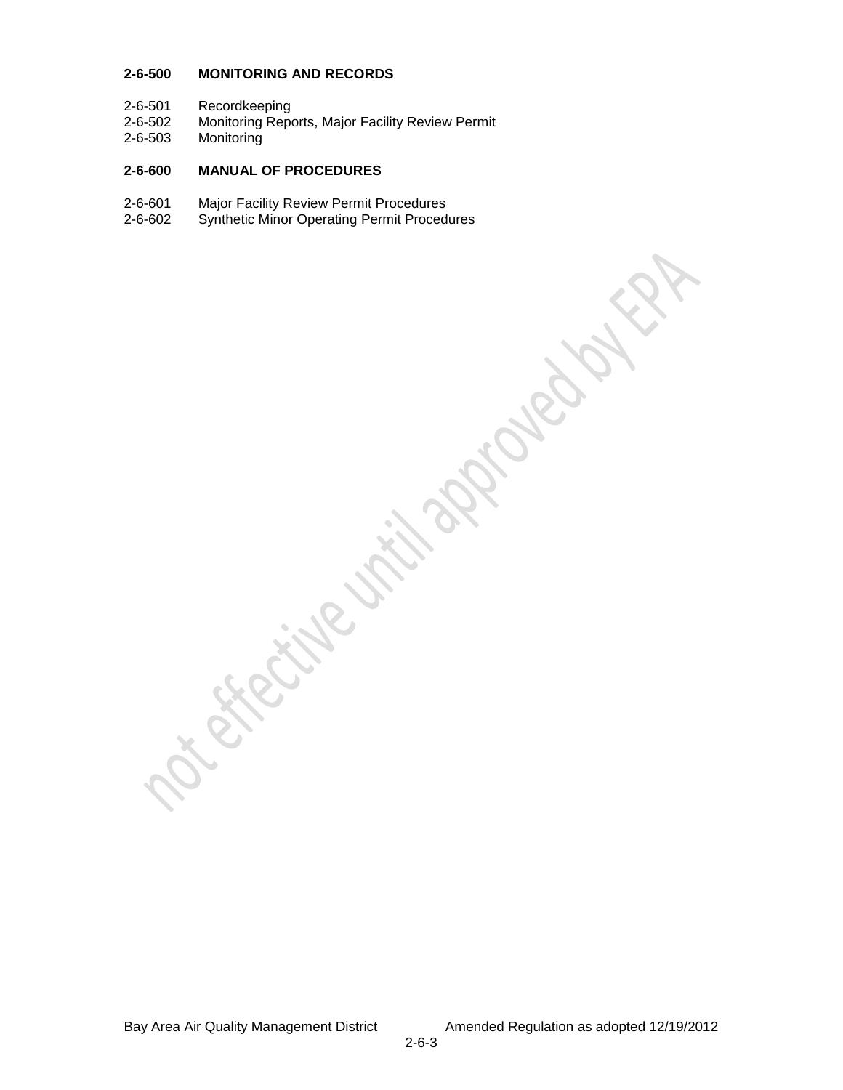#### **2-6-500 MONITORING AND RECORDS**

- 2-6-501 Recordkeeping<br>2-6-502 Monitoring Repe
- 2-6-502 Monitoring Reports, Major Facility Review Permit<br>2-6-503 Monitoring
- Monitoring

#### **2-6-600 MANUAL OF PROCEDURES**

- 2-6-601 Major Facility Review Permit Procedures<br>2-6-602 Synthetic Minor Operating Permit Proced
- Synthetic Minor Operating Permit Procedures

Bay Area Air Quality Management District Amended Regulation as adopted 12/19/2012

**Since** 

**RECK** 

Royal.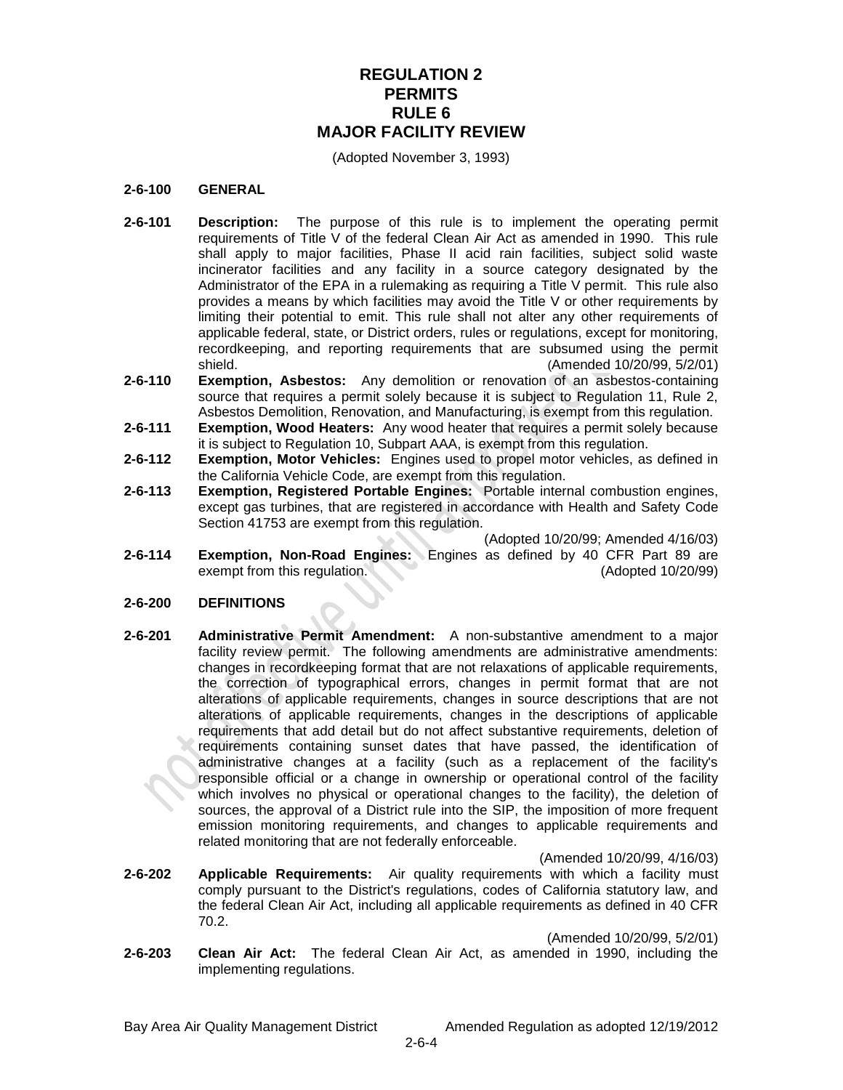## **REGULATION 2 PERMITS RULE 6 MAJOR FACILITY REVIEW**

(Adopted November 3, 1993)

#### **2-6-100 GENERAL**

- **2-6-101 Description:** The purpose of this rule is to implement the operating permit requirements of Title V of the federal Clean Air Act as amended in 1990. This rule shall apply to major facilities, Phase II acid rain facilities, subject solid waste incinerator facilities and any facility in a source category designated by the Administrator of the EPA in a rulemaking as requiring a Title V permit. This rule also provides a means by which facilities may avoid the Title V or other requirements by limiting their potential to emit. This rule shall not alter any other requirements of applicable federal, state, or District orders, rules or regulations, except for monitoring, recordkeeping, and reporting requirements that are subsumed using the permit shield. (Amended 10/20/99, 5/2/01)
- **2-6-110 Exemption, Asbestos:** Any demolition or renovation of an asbestos-containing source that requires a permit solely because it is subject to Regulation 11, Rule 2, Asbestos Demolition, Renovation, and Manufacturing, is exempt from this regulation.
- **2-6-111 Exemption, Wood Heaters:** Any wood heater that requires a permit solely because it is subject to Regulation 10, Subpart AAA, is exempt from this regulation.
- **2-6-112 Exemption, Motor Vehicles:** Engines used to propel motor vehicles, as defined in the California Vehicle Code, are exempt from this regulation.
- **2-6-113 Exemption, Registered Portable Engines:** Portable internal combustion engines, except gas turbines, that are registered in accordance with Health and Safety Code Section 41753 are exempt from this regulation.

(Adopted 10/20/99; Amended 4/16/03)

**2-6-114 Exemption, Non-Road Engines:** Engines as defined by 40 CFR Part 89 are exempt from this regulation. (Adopted 10/20/99)

#### **2-6-200 DEFINITIONS**

**2-6-201 Administrative Permit Amendment:** A non-substantive amendment to a major facility review permit. The following amendments are administrative amendments: changes in recordkeeping format that are not relaxations of applicable requirements, the correction of typographical errors, changes in permit format that are not alterations of applicable requirements, changes in source descriptions that are not alterations of applicable requirements, changes in the descriptions of applicable requirements that add detail but do not affect substantive requirements, deletion of requirements containing sunset dates that have passed, the identification of administrative changes at a facility (such as a replacement of the facility's responsible official or a change in ownership or operational control of the facility which involves no physical or operational changes to the facility), the deletion of sources, the approval of a District rule into the SIP, the imposition of more frequent emission monitoring requirements, and changes to applicable requirements and related monitoring that are not federally enforceable.

(Amended 10/20/99, 4/16/03)

**2-6-202 Applicable Requirements:** Air quality requirements with which a facility must comply pursuant to the District's regulations, codes of California statutory law, and the federal Clean Air Act, including all applicable requirements as defined in 40 CFR 70.2.

(Amended 10/20/99, 5/2/01)

**2-6-203 Clean Air Act:** The federal Clean Air Act, as amended in 1990, including the implementing regulations.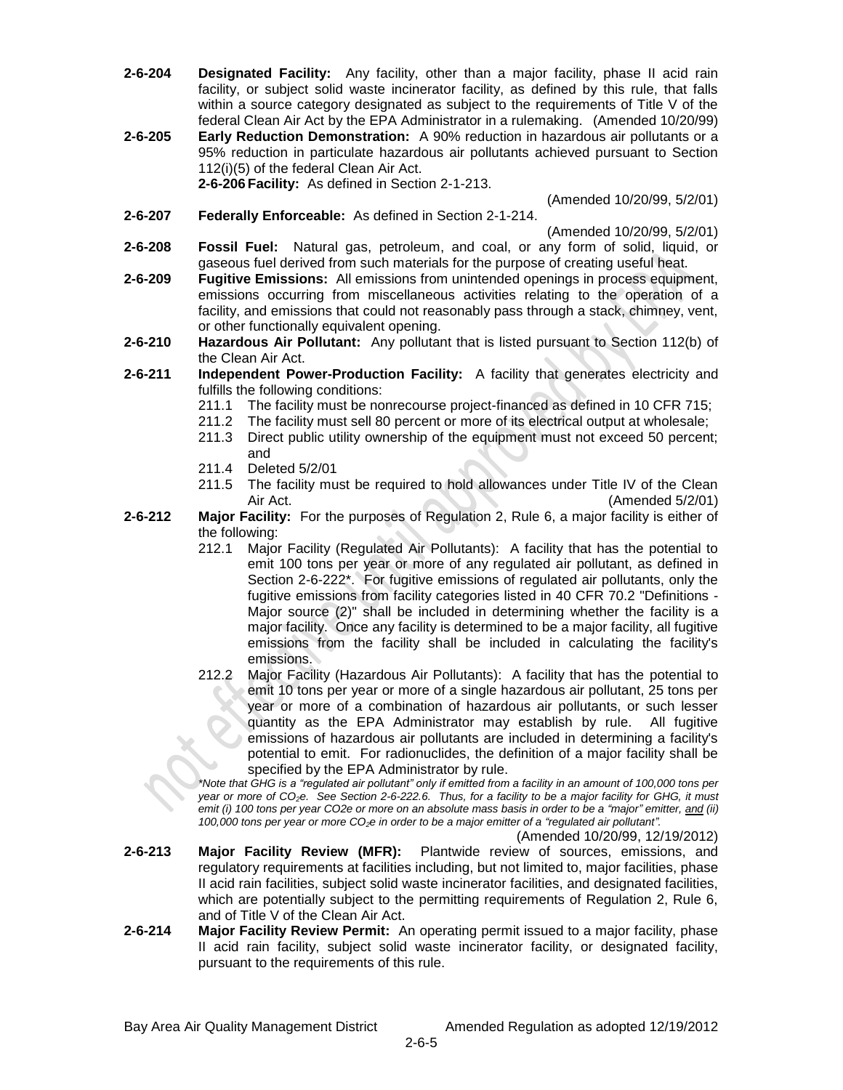- **2-6-204 Designated Facility:** Any facility, other than a major facility, phase II acid rain facility, or subject solid waste incinerator facility, as defined by this rule, that falls within a source category designated as subject to the requirements of Title V of the federal Clean Air Act by the EPA Administrator in a rulemaking. (Amended 10/20/99)
- **2-6-205 Early Reduction Demonstration:** A 90% reduction in hazardous air pollutants or a 95% reduction in particulate hazardous air pollutants achieved pursuant to Section 112(i)(5) of the federal Clean Air Act. **2-6-206 Facility:** As defined in Section 2-1-213.

(Amended 10/20/99, 5/2/01)

**2-6-207 Federally Enforceable:** As defined in Section 2-1-214.

(Amended 10/20/99, 5/2/01)

- **2-6-208 Fossil Fuel:** Natural gas, petroleum, and coal, or any form of solid, liquid, or gaseous fuel derived from such materials for the purpose of creating useful heat.
- **2-6-209 Fugitive Emissions:** All emissions from unintended openings in process equipment, emissions occurring from miscellaneous activities relating to the operation of a facility, and emissions that could not reasonably pass through a stack, chimney, vent, or other functionally equivalent opening.
- **2-6-210 Hazardous Air Pollutant:** Any pollutant that is listed pursuant to Section 112(b) of the Clean Air Act.
- **2-6-211 Independent Power-Production Facility:** A facility that generates electricity and fulfills the following conditions:
	- 211.1 The facility must be nonrecourse project-financed as defined in 10 CFR 715;
	- 211.2 The facility must sell 80 percent or more of its electrical output at wholesale;
	- 211.3 Direct public utility ownership of the equipment must not exceed 50 percent; and
	- 211.4 Deleted 5/2/01
	- 211.5 The facility must be required to hold allowances under Title IV of the Clean Air Act. (Amended 5/2/01)
- **2-6-212 Major Facility:** For the purposes of Regulation 2, Rule 6, a major facility is either of the following:
	- 212.1 Major Facility (Regulated Air Pollutants): A facility that has the potential to emit 100 tons per year or more of any regulated air pollutant, as defined in Section 2-6-222\*. For fugitive emissions of regulated air pollutants, only the fugitive emissions from facility categories listed in 40 CFR 70.2 "Definitions - Major source (2)" shall be included in determining whether the facility is a major facility. Once any facility is determined to be a major facility, all fugitive emissions from the facility shall be included in calculating the facility's emissions.
	- 212.2 Major Facility (Hazardous Air Pollutants): A facility that has the potential to emit 10 tons per year or more of a single hazardous air pollutant, 25 tons per year or more of a combination of hazardous air pollutants, or such lesser quantity as the EPA Administrator may establish by rule. All fugitive emissions of hazardous air pollutants are included in determining a facility's potential to emit. For radionuclides, the definition of a major facility shall be specified by the EPA Administrator by rule.

*\*Note that GHG is a "regulated air pollutant" only if emitted from a facility in an amount of 100,000 tons per year or more of CO2e. See Section 2-6-222.6. Thus, for a facility to be a major facility for GHG, it must emit (i) 100 tons per year CO2e or more on an absolute mass basis in order to be a "major" emitter, and (ii) 100,000 tons per year or more CO2e in order to be a major emitter of a "regulated air pollutant".*

(Amended 10/20/99, 12/19/2012)

- **2-6-213 Major Facility Review (MFR):** Plantwide review of sources, emissions, and regulatory requirements at facilities including, but not limited to, major facilities, phase II acid rain facilities, subject solid waste incinerator facilities, and designated facilities, which are potentially subject to the permitting requirements of Regulation 2, Rule 6, and of Title V of the Clean Air Act.
- **2-6-214 Major Facility Review Permit:** An operating permit issued to a major facility, phase II acid rain facility, subject solid waste incinerator facility, or designated facility, pursuant to the requirements of this rule.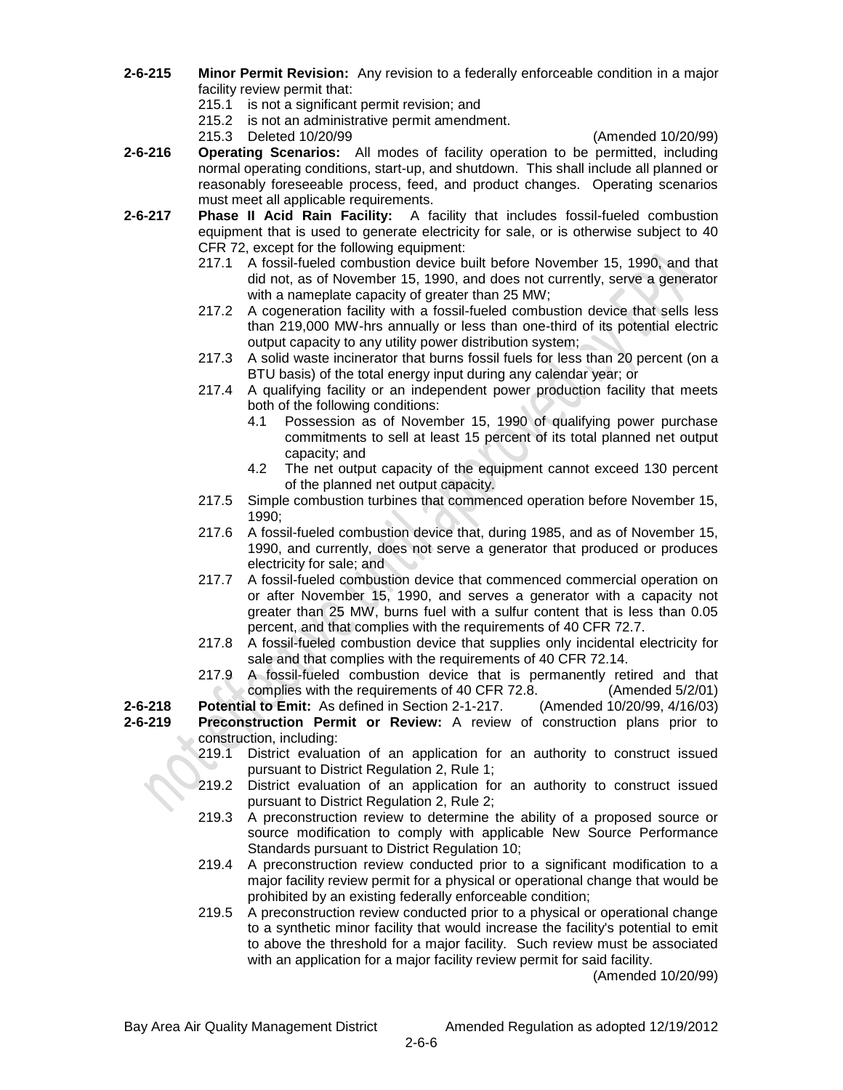- **2-6-215 Minor Permit Revision:** Any revision to a federally enforceable condition in a major facility review permit that:
	- 215.1 is not a significant permit revision; and
	- 215.2 is not an administrative permit amendment.
	- 215.3 Deleted 10/20/99 (Amended 10/20/99)

- **2-6-216 Operating Scenarios:** All modes of facility operation to be permitted, including normal operating conditions, start-up, and shutdown. This shall include all planned or reasonably foreseeable process, feed, and product changes. Operating scenarios must meet all applicable requirements.
- **2-6-217 Phase II Acid Rain Facility:** A facility that includes fossil-fueled combustion equipment that is used to generate electricity for sale, or is otherwise subject to 40 CFR 72, except for the following equipment:
	- 217.1 A fossil-fueled combustion device built before November 15, 1990, and that did not, as of November 15, 1990, and does not currently, serve a generator with a nameplate capacity of greater than 25 MW;
	- 217.2 A cogeneration facility with a fossil-fueled combustion device that sells less than 219,000 MW-hrs annually or less than one-third of its potential electric output capacity to any utility power distribution system;
	- 217.3 A solid waste incinerator that burns fossil fuels for less than 20 percent (on a BTU basis) of the total energy input during any calendar year; or
	- 217.4 A qualifying facility or an independent power production facility that meets both of the following conditions:
		- 4.1 Possession as of November 15, 1990 of qualifying power purchase commitments to sell at least 15 percent of its total planned net output capacity; and
		- 4.2 The net output capacity of the equipment cannot exceed 130 percent of the planned net output capacity.
	- 217.5 Simple combustion turbines that commenced operation before November 15, 1990;
	- 217.6 A fossil-fueled combustion device that, during 1985, and as of November 15, 1990, and currently, does not serve a generator that produced or produces electricity for sale; and
	- 217.7 A fossil-fueled combustion device that commenced commercial operation on or after November 15, 1990, and serves a generator with a capacity not greater than 25 MW, burns fuel with a sulfur content that is less than 0.05 percent, and that complies with the requirements of 40 CFR 72.7.
	- 217.8 A fossil-fueled combustion device that supplies only incidental electricity for sale and that complies with the requirements of 40 CFR 72.14.
	- 217.9 A fossil-fueled combustion device that is permanently retired and that complies with the requirements of 40 CFR 72.8. (Amended 5/2/01)

**2-6-218 Potential to Emit:** As defined in Section 2-1-217. (Amended 10/20/99, 4/16/03)

- **2-6-219 Preconstruction Permit or Review:** A review of construction plans prior to construction, including:
	- 219.1 District evaluation of an application for an authority to construct issued pursuant to District Regulation 2, Rule 1;
	- 219.2 District evaluation of an application for an authority to construct issued pursuant to District Regulation 2, Rule 2;
	- 219.3 A preconstruction review to determine the ability of a proposed source or source modification to comply with applicable New Source Performance Standards pursuant to District Regulation 10;
	- 219.4 A preconstruction review conducted prior to a significant modification to a major facility review permit for a physical or operational change that would be prohibited by an existing federally enforceable condition;
	- 219.5 A preconstruction review conducted prior to a physical or operational change to a synthetic minor facility that would increase the facility's potential to emit to above the threshold for a major facility. Such review must be associated with an application for a major facility review permit for said facility.

(Amended 10/20/99)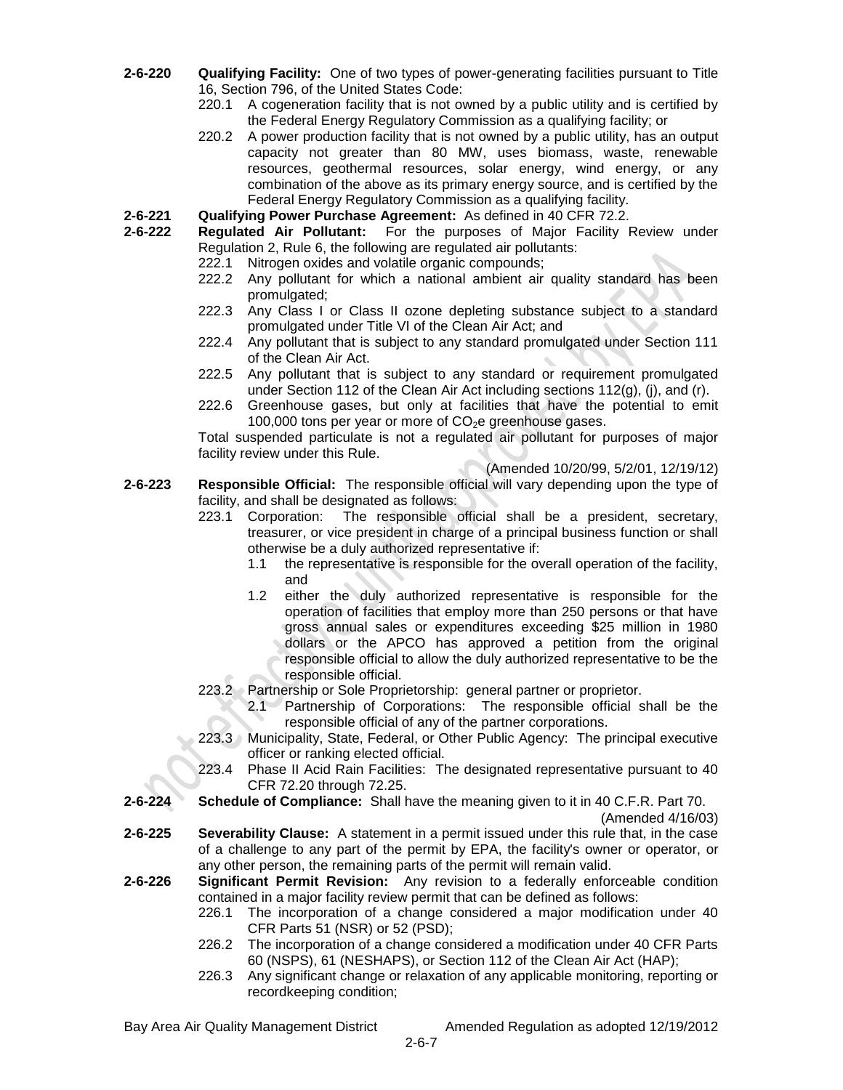- **2-6-220 Qualifying Facility:** One of two types of power-generating facilities pursuant to Title 16, Section 796, of the United States Code:
	- 220.1 A cogeneration facility that is not owned by a public utility and is certified by the Federal Energy Regulatory Commission as a qualifying facility; or
	- 220.2 A power production facility that is not owned by a public utility, has an output capacity not greater than 80 MW, uses biomass, waste, renewable resources, geothermal resources, solar energy, wind energy, or any combination of the above as its primary energy source, and is certified by the Federal Energy Regulatory Commission as a qualifying facility.
- **2-6-221 Qualifying Power Purchase Agreement:** As defined in 40 CFR 72.2.
- **2-6-222 Regulated Air Pollutant:** For the purposes of Major Facility Review under Regulation 2, Rule 6, the following are regulated air pollutants:
	- 222.1 Nitrogen oxides and volatile organic compounds;
	- 222.2 Any pollutant for which a national ambient air quality standard has been promulgated;
	- 222.3 Any Class I or Class II ozone depleting substance subject to a standard promulgated under Title VI of the Clean Air Act; and
	- 222.4 Any pollutant that is subject to any standard promulgated under Section 111 of the Clean Air Act.
	- 222.5 Any pollutant that is subject to any standard or requirement promulgated under Section 112 of the Clean Air Act including sections 112(g), (j), and (r).
	- 222.6 Greenhouse gases, but only at facilities that have the potential to emit 100,000 tons per year or more of  $CO<sub>2</sub>e$  greenhouse gases.

Total suspended particulate is not a regulated air pollutant for purposes of major facility review under this Rule.

(Amended 10/20/99, 5/2/01, 12/19/12)

- **2-6-223 Responsible Official:** The responsible official will vary depending upon the type of facility, and shall be designated as follows:
	- 223.1 Corporation: The responsible official shall be a president, secretary, treasurer, or vice president in charge of a principal business function or shall otherwise be a duly authorized representative if:
		- 1.1 the representative is responsible for the overall operation of the facility, and
		- 1.2 either the duly authorized representative is responsible for the operation of facilities that employ more than 250 persons or that have gross annual sales or expenditures exceeding \$25 million in 1980 dollars or the APCO has approved a petition from the original responsible official to allow the duly authorized representative to be the responsible official.
	- 223.2 Partnership or Sole Proprietorship: general partner or proprietor.
		- 2.1 Partnership of Corporations: The responsible official shall be the responsible official of any of the partner corporations.
	- 223.3 Municipality, State, Federal, or Other Public Agency: The principal executive officer or ranking elected official.
	- 223.4 Phase II Acid Rain Facilities: The designated representative pursuant to 40 CFR 72.20 through 72.25.
- **2-6-224 Schedule of Compliance:** Shall have the meaning given to it in 40 C.F.R. Part 70.

(Amended 4/16/03)

- **2-6-225 Severability Clause:** A statement in a permit issued under this rule that, in the case of a challenge to any part of the permit by EPA, the facility's owner or operator, or any other person, the remaining parts of the permit will remain valid.
- **2-6-226 Significant Permit Revision:** Any revision to a federally enforceable condition contained in a major facility review permit that can be defined as follows:
	- 226.1 The incorporation of a change considered a major modification under 40 CFR Parts 51 (NSR) or 52 (PSD);
	- 226.2 The incorporation of a change considered a modification under 40 CFR Parts 60 (NSPS), 61 (NESHAPS), or Section 112 of the Clean Air Act (HAP);
	- 226.3 Any significant change or relaxation of any applicable monitoring, reporting or recordkeeping condition;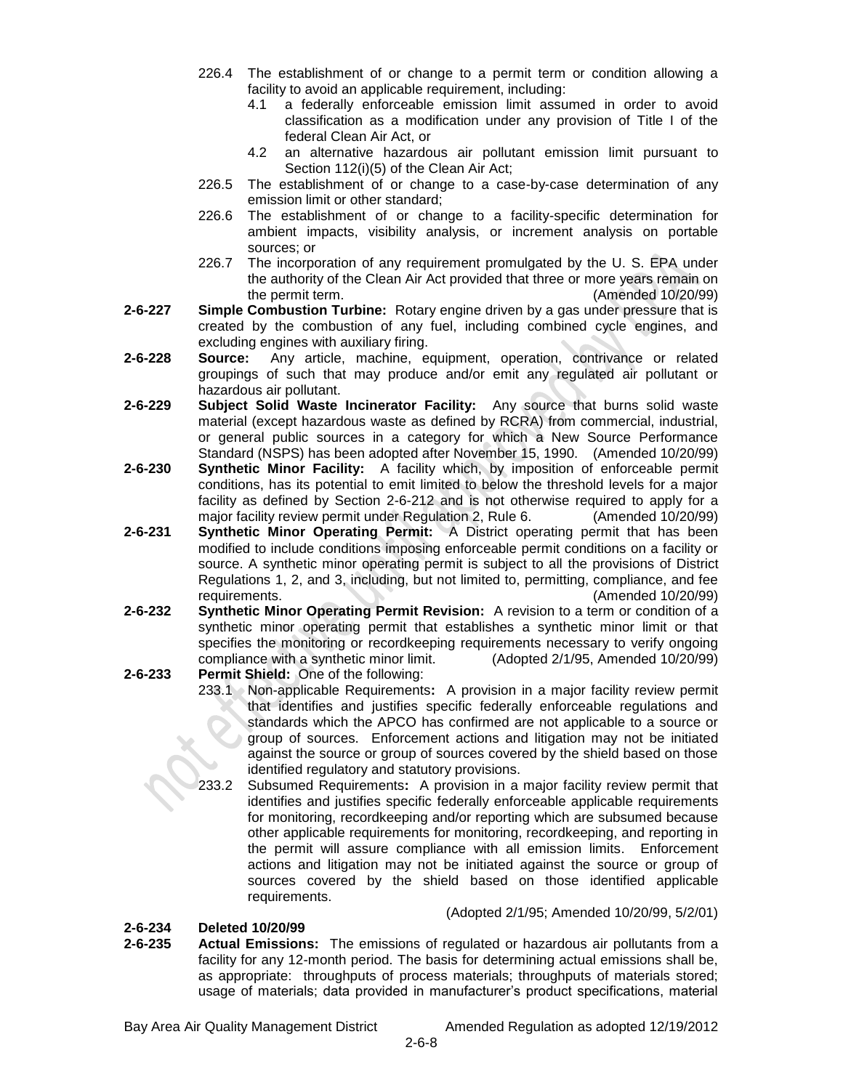- 226.4 The establishment of or change to a permit term or condition allowing a facility to avoid an applicable requirement, including:
	- 4.1 a federally enforceable emission limit assumed in order to avoid classification as a modification under any provision of Title I of the federal Clean Air Act, or
	- 4.2 an alternative hazardous air pollutant emission limit pursuant to Section 112(i)(5) of the Clean Air Act;
- 226.5 The establishment of or change to a case-by-case determination of any emission limit or other standard;
- 226.6 The establishment of or change to a facility-specific determination for ambient impacts, visibility analysis, or increment analysis on portable sources; or
- 226.7 The incorporation of any requirement promulgated by the U. S. EPA under the authority of the Clean Air Act provided that three or more years remain on the permit term. (Amended 10/20/99)
- **2-6-227 Simple Combustion Turbine:** Rotary engine driven by a gas under pressure that is created by the combustion of any fuel, including combined cycle engines, and excluding engines with auxiliary firing.
- **2-6-228 Source:** Any article, machine, equipment, operation, contrivance or related groupings of such that may produce and/or emit any regulated air pollutant or hazardous air pollutant.
- **2-6-229 Subject Solid Waste Incinerator Facility:** Any source that burns solid waste material (except hazardous waste as defined by RCRA) from commercial, industrial, or general public sources in a category for which a New Source Performance Standard (NSPS) has been adopted after November 15, 1990. (Amended 10/20/99)
- **2-6-230 Synthetic Minor Facility:** A facility which, by imposition of enforceable permit conditions, has its potential to emit limited to below the threshold levels for a major facility as defined by Section 2-6-212 and is not otherwise required to apply for a major facility review permit under Regulation 2, Rule 6. (Amended 10/20/99)
- **2-6-231 Synthetic Minor Operating Permit:** A District operating permit that has been modified to include conditions imposing enforceable permit conditions on a facility or source. A synthetic minor operating permit is subject to all the provisions of District Regulations 1, 2, and 3, including, but not limited to, permitting, compliance, and fee requirements. (Amended 10/20/99)
- **2-6-232 Synthetic Minor Operating Permit Revision:** A revision to a term or condition of a synthetic minor operating permit that establishes a synthetic minor limit or that specifies the monitoring or recordkeeping requirements necessary to verify ongoing compliance with a synthetic minor limit. (Adopted 2/1/95, Amended 10/20/99)
- **2-6-233 Permit Shield:** One of the following:
	- 233.1 Non-applicable Requirements**:** A provision in a major facility review permit that identifies and justifies specific federally enforceable regulations and standards which the APCO has confirmed are not applicable to a source or group of sources. Enforcement actions and litigation may not be initiated against the source or group of sources covered by the shield based on those identified regulatory and statutory provisions.
	- 233.2 Subsumed Requirements**:** A provision in a major facility review permit that identifies and justifies specific federally enforceable applicable requirements for monitoring, recordkeeping and/or reporting which are subsumed because other applicable requirements for monitoring, recordkeeping, and reporting in the permit will assure compliance with all emission limits. Enforcement actions and litigation may not be initiated against the source or group of sources covered by the shield based on those identified applicable requirements.

## **2-6-234 Deleted 10/20/99**

**2-6-235 Actual Emissions:** The emissions of regulated or hazardous air pollutants from a facility for any 12-month period. The basis for determining actual emissions shall be, as appropriate: throughputs of process materials; throughputs of materials stored; usage of materials; data provided in manufacturer's product specifications, material

Bay Area Air Quality Management District Amended Regulation as adopted 12/19/2012

(Adopted 2/1/95; Amended 10/20/99, 5/2/01)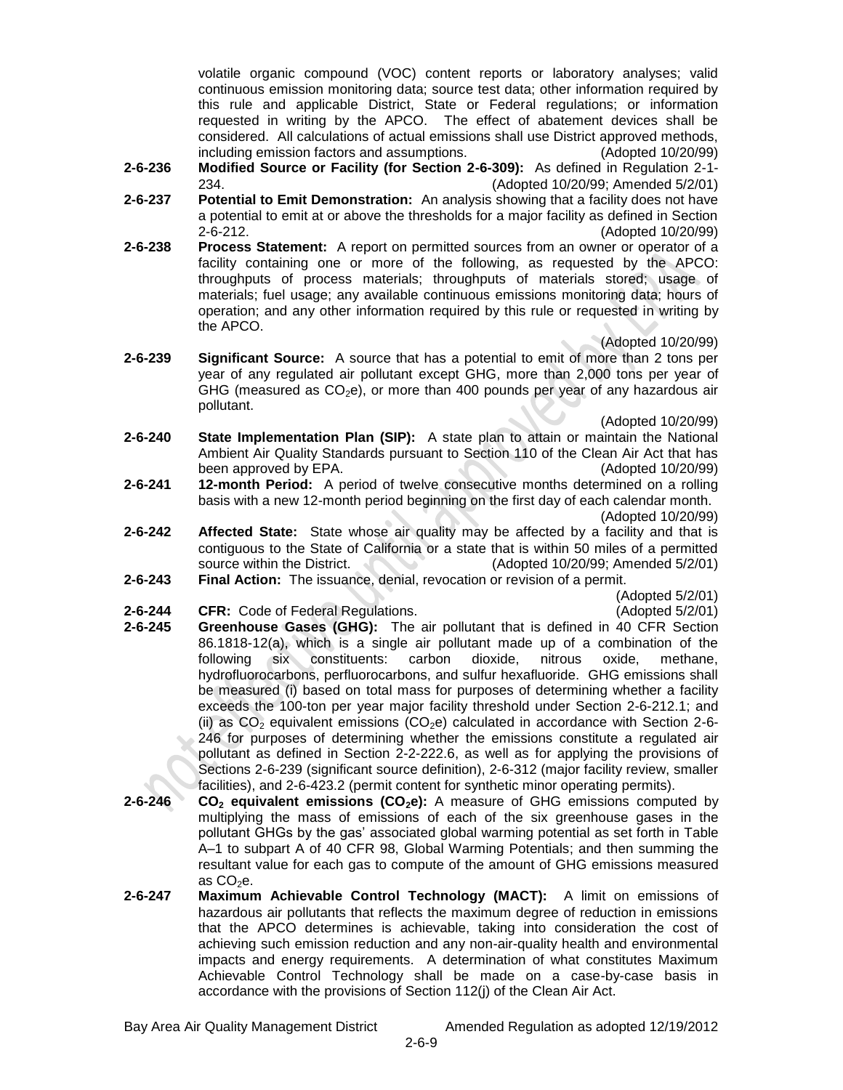volatile organic compound (VOC) content reports or laboratory analyses; valid continuous emission monitoring data; source test data; other information required by this rule and applicable District, State or Federal regulations; or information requested in writing by the APCO. The effect of abatement devices shall be considered. All calculations of actual emissions shall use District approved methods, including emission factors and assumptions. (Adopted 10/20/99)

- **2-6-236 Modified Source or Facility (for Section 2-6-309):** As defined in Regulation 2-1- 234. (Adopted 10/20/99; Amended 5/2/01)
- **2-6-237 Potential to Emit Demonstration:** An analysis showing that a facility does not have a potential to emit at or above the thresholds for a major facility as defined in Section 2-6-212. (Adopted 10/20/99)
- **2-6-238 Process Statement:** A report on permitted sources from an owner or operator of a facility containing one or more of the following, as requested by the APCO: throughputs of process materials; throughputs of materials stored; usage of materials; fuel usage; any available continuous emissions monitoring data; hours of operation; and any other information required by this rule or requested in writing by the APCO.

(Adopted 10/20/99)

**2-6-239 Significant Source:** A source that has a potential to emit of more than 2 tons per year of any regulated air pollutant except GHG, more than 2,000 tons per year of GHG (measured as  $CO<sub>2</sub>e$ ), or more than 400 pounds per year of any hazardous air pollutant.

(Adopted 10/20/99)

- **2-6-240 State Implementation Plan (SIP):** A state plan to attain or maintain the National Ambient Air Quality Standards pursuant to Section 110 of the Clean Air Act that has been approved by EPA. (Adopted 10/20/99)
- **2-6-241 12-month Period:** A period of twelve consecutive months determined on a rolling basis with a new 12-month period beginning on the first day of each calendar month. (Adopted 10/20/99)
- **2-6-242 Affected State:** State whose air quality may be affected by a facility and that is contiguous to the State of California or a state that is within 50 miles of a permitted source within the District. (Adopted 10/20/99; Amended 5/2/01)
- **2-6-243 Final Action:** The issuance, denial, revocation or revision of a permit.
- **2-6-244 CFR:** Code of Federal Regulations. (Adopted 5/2/01)

(Adopted 5/2/01)

- **2-6-245 Greenhouse Gases (GHG):** The air pollutant that is defined in 40 CFR Section 86.1818-12(a), which is a single air pollutant made up of a combination of the following six constituents: carbon dioxide, nitrous oxide, methane, hydrofluorocarbons, perfluorocarbons, and sulfur hexafluoride. GHG emissions shall be measured (i) based on total mass for purposes of determining whether a facility exceeds the 100-ton per year major facility threshold under Section 2-6-212.1; and (ii) as  $CO<sub>2</sub>$  equivalent emissions (CO<sub>2</sub>e) calculated in accordance with Section 2-6-246 for purposes of determining whether the emissions constitute a regulated air pollutant as defined in Section 2-2-222.6, as well as for applying the provisions of Sections 2-6-239 (significant source definition), 2-6-312 (major facility review, smaller facilities), and 2-6-423.2 (permit content for synthetic minor operating permits).
- **2-6-246 CO<sup>2</sup> equivalent emissions (CO2e):** A measure of GHG emissions computed by multiplying the mass of emissions of each of the six greenhouse gases in the pollutant GHGs by the gas' associated global warming potential as set forth in Table A–1 to subpart A of 40 CFR 98, Global Warming Potentials; and then summing the resultant value for each gas to compute of the amount of GHG emissions measured as  $CO<sub>2</sub>e$ .
- **2-6-247 Maximum Achievable Control Technology (MACT):** A limit on emissions of hazardous air pollutants that reflects the maximum degree of reduction in emissions that the APCO determines is achievable, taking into consideration the cost of achieving such emission reduction and any non-air-quality health and environmental impacts and energy requirements. A determination of what constitutes Maximum Achievable Control Technology shall be made on a case-by-case basis in accordance with the provisions of Section 112(j) of the Clean Air Act.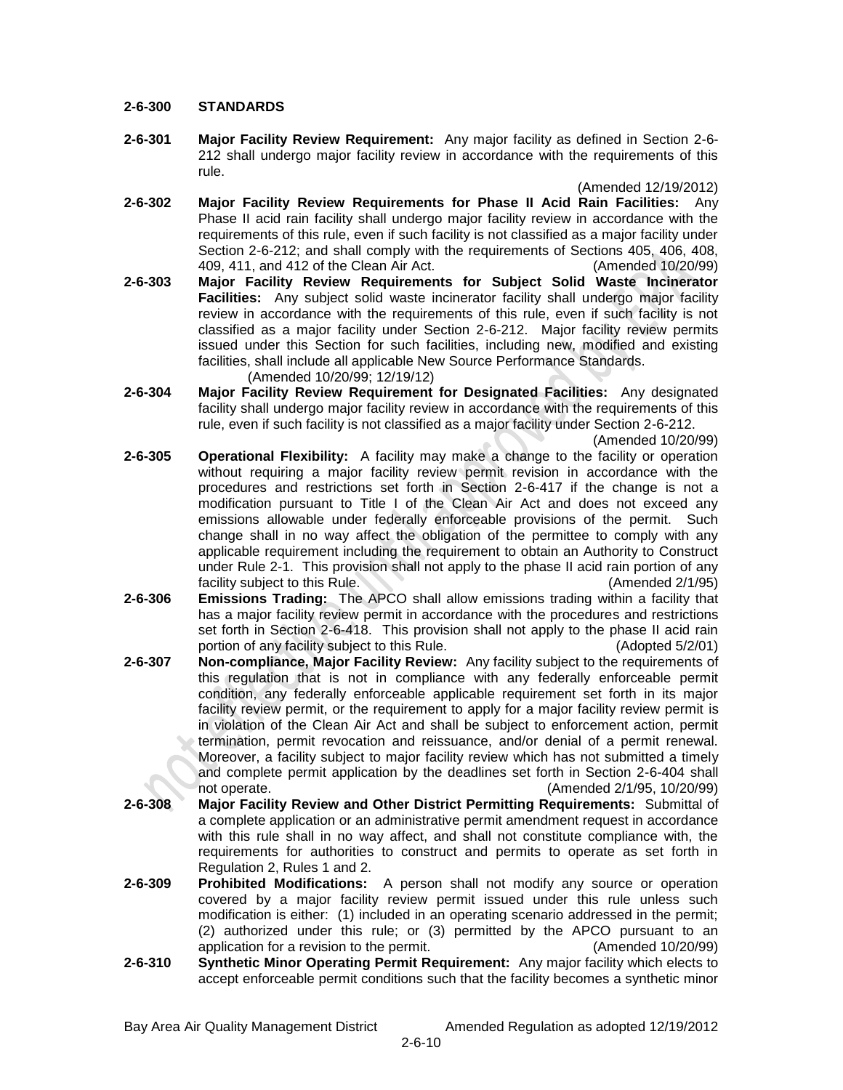#### **2-6-300 STANDARDS**

**2-6-301 Major Facility Review Requirement:** Any major facility as defined in Section 2-6- 212 shall undergo major facility review in accordance with the requirements of this rule.

(Amended 12/19/2012)

- **2-6-302 Major Facility Review Requirements for Phase II Acid Rain Facilities:** Any Phase II acid rain facility shall undergo major facility review in accordance with the requirements of this rule, even if such facility is not classified as a major facility under Section 2-6-212; and shall comply with the requirements of Sections 405, 406, 408, 409, 411, and 412 of the Clean Air Act. (Amended 10/20/99)
- **2-6-303 Major Facility Review Requirements for Subject Solid Waste Incinerator Facilities:** Any subject solid waste incinerator facility shall undergo major facility review in accordance with the requirements of this rule, even if such facility is not classified as a major facility under Section 2-6-212. Major facility review permits issued under this Section for such facilities, including new, modified and existing facilities, shall include all applicable New Source Performance Standards. (Amended 10/20/99; 12/19/12)
- **2-6-304 Major Facility Review Requirement for Designated Facilities:** Any designated facility shall undergo major facility review in accordance with the requirements of this rule, even if such facility is not classified as a major facility under Section 2-6-212.

(Amended 10/20/99)

- **2-6-305 Operational Flexibility:** A facility may make a change to the facility or operation without requiring a major facility review permit revision in accordance with the procedures and restrictions set forth in Section 2-6-417 if the change is not a modification pursuant to Title I of the Clean Air Act and does not exceed any emissions allowable under federally enforceable provisions of the permit. Such change shall in no way affect the obligation of the permittee to comply with any applicable requirement including the requirement to obtain an Authority to Construct under Rule 2-1. This provision shall not apply to the phase II acid rain portion of any facility subject to this Rule. (Amended 2/1/95)
- **2-6-306 Emissions Trading:** The APCO shall allow emissions trading within a facility that has a major facility review permit in accordance with the procedures and restrictions set forth in Section 2-6-418. This provision shall not apply to the phase II acid rain portion of any facility subject to this Rule. (Adopted 5/2/01)
- **2-6-307 Non-compliance, Major Facility Review:** Any facility subject to the requirements of this regulation that is not in compliance with any federally enforceable permit condition, any federally enforceable applicable requirement set forth in its major facility review permit, or the requirement to apply for a major facility review permit is in violation of the Clean Air Act and shall be subject to enforcement action, permit termination, permit revocation and reissuance, and/or denial of a permit renewal. Moreover, a facility subject to major facility review which has not submitted a timely and complete permit application by the deadlines set forth in Section 2-6-404 shall not operate. (Amended 2/1/95, 10/20/99)
- **2-6-308 Major Facility Review and Other District Permitting Requirements:** Submittal of a complete application or an administrative permit amendment request in accordance with this rule shall in no way affect, and shall not constitute compliance with, the requirements for authorities to construct and permits to operate as set forth in Regulation 2, Rules 1 and 2.
- **2-6-309 Prohibited Modifications:** A person shall not modify any source or operation covered by a major facility review permit issued under this rule unless such modification is either: (1) included in an operating scenario addressed in the permit; (2) authorized under this rule; or (3) permitted by the APCO pursuant to an application for a revision to the permit. (Amended 10/20/99)
- **2-6-310 Synthetic Minor Operating Permit Requirement:** Any major facility which elects to accept enforceable permit conditions such that the facility becomes a synthetic minor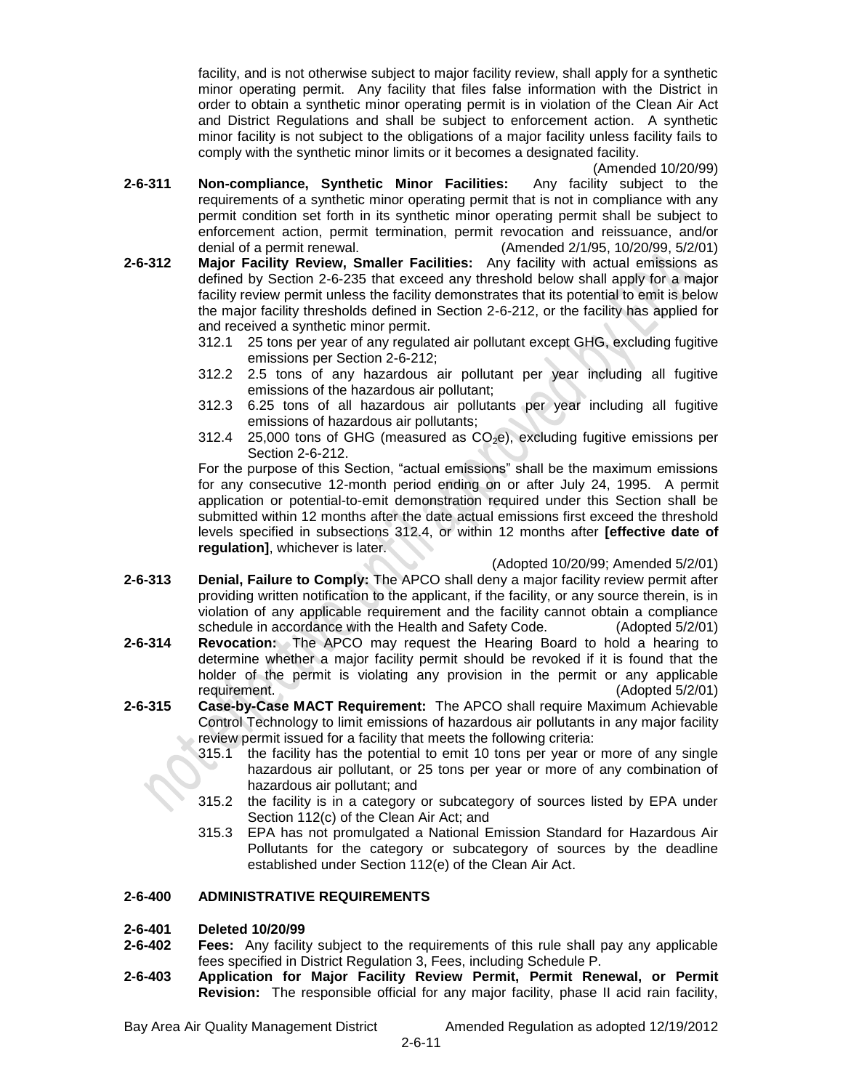facility, and is not otherwise subject to major facility review, shall apply for a synthetic minor operating permit. Any facility that files false information with the District in order to obtain a synthetic minor operating permit is in violation of the Clean Air Act and District Regulations and shall be subject to enforcement action. A synthetic minor facility is not subject to the obligations of a major facility unless facility fails to comply with the synthetic minor limits or it becomes a designated facility.

(Amended 10/20/99)

- **2-6-311 Non-compliance, Synthetic Minor Facilities:** Any facility subject to the requirements of a synthetic minor operating permit that is not in compliance with any permit condition set forth in its synthetic minor operating permit shall be subject to enforcement action, permit termination, permit revocation and reissuance, and/or denial of a permit renewal. (Amended 2/1/95, 10/20/99, 5/2/01)
- **2-6-312 Major Facility Review, Smaller Facilities:** Any facility with actual emissions as defined by Section 2-6-235 that exceed any threshold below shall apply for a major facility review permit unless the facility demonstrates that its potential to emit is below the major facility thresholds defined in Section 2-6-212, or the facility has applied for and received a synthetic minor permit.
	- 312.1 25 tons per year of any regulated air pollutant except GHG, excluding fugitive emissions per Section 2-6-212;
	- 312.2 2.5 tons of any hazardous air pollutant per year including all fugitive emissions of the hazardous air pollutant;
	- 312.3 6.25 tons of all hazardous air pollutants per year including all fugitive emissions of hazardous air pollutants;
	- 312.4 25,000 tons of GHG (measured as  $CO<sub>2</sub>e$ ), excluding fugitive emissions per Section 2-6-212.

For the purpose of this Section, "actual emissions" shall be the maximum emissions for any consecutive 12-month period ending on or after July 24, 1995. A permit application or potential-to-emit demonstration required under this Section shall be submitted within 12 months after the date actual emissions first exceed the threshold levels specified in subsections 312.4, or within 12 months after **[effective date of regulation]**, whichever is later.

(Adopted 10/20/99; Amended 5/2/01)

- **2-6-313 Denial, Failure to Comply:** The APCO shall deny a major facility review permit after providing written notification to the applicant, if the facility, or any source therein, is in violation of any applicable requirement and the facility cannot obtain a compliance schedule in accordance with the Health and Safety Code. (Adopted 5/2/01)
- **2-6-314 Revocation:** The APCO may request the Hearing Board to hold a hearing to determine whether a major facility permit should be revoked if it is found that the holder of the permit is violating any provision in the permit or any applicable requirement. (Adopted 5/2/01)
- **2-6-315 Case-by-Case MACT Requirement:** The APCO shall require Maximum Achievable Control Technology to limit emissions of hazardous air pollutants in any major facility review permit issued for a facility that meets the following criteria:
	- 315.1 the facility has the potential to emit 10 tons per year or more of any single hazardous air pollutant, or 25 tons per year or more of any combination of hazardous air pollutant; and
	- 315.2 the facility is in a category or subcategory of sources listed by EPA under Section 112(c) of the Clean Air Act; and
	- 315.3 EPA has not promulgated a National Emission Standard for Hazardous Air Pollutants for the category or subcategory of sources by the deadline established under Section 112(e) of the Clean Air Act.

## **2-6-400 ADMINISTRATIVE REQUIREMENTS**

#### **2-6-401 Deleted 10/20/99**

- **2-6-402 Fees:** Any facility subject to the requirements of this rule shall pay any applicable fees specified in District Regulation 3, Fees, including Schedule P.
- **2-6-403 Application for Major Facility Review Permit, Permit Renewal, or Permit Revision:** The responsible official for any major facility, phase II acid rain facility,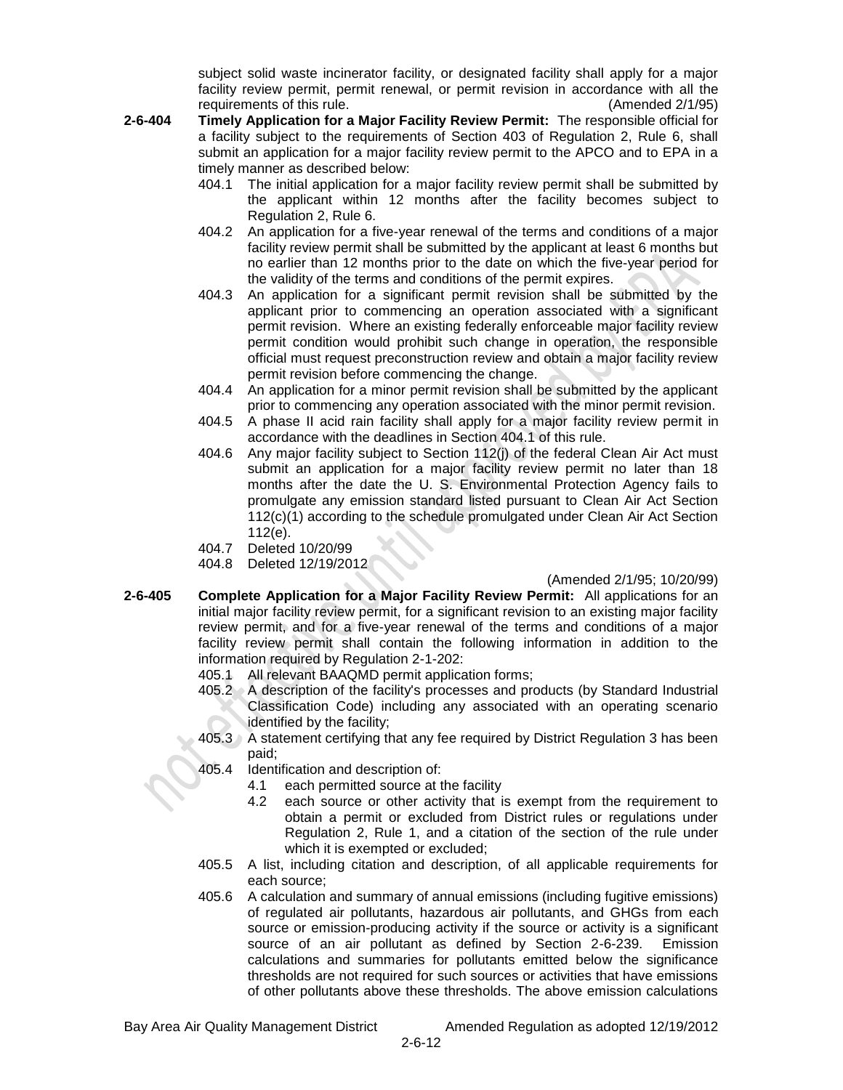subject solid waste incinerator facility, or designated facility shall apply for a major facility review permit, permit renewal, or permit revision in accordance with all the requirements of this rule. (Amended 2/1/95)

- **2-6-404 Timely Application for a Major Facility Review Permit:** The responsible official for a facility subject to the requirements of Section 403 of Regulation 2, Rule 6, shall submit an application for a major facility review permit to the APCO and to EPA in a timely manner as described below:
	- 404.1 The initial application for a major facility review permit shall be submitted by the applicant within 12 months after the facility becomes subject to Regulation 2, Rule 6.
	- 404.2 An application for a five-year renewal of the terms and conditions of a major facility review permit shall be submitted by the applicant at least 6 months but no earlier than 12 months prior to the date on which the five-year period for the validity of the terms and conditions of the permit expires.
	- 404.3 An application for a significant permit revision shall be submitted by the applicant prior to commencing an operation associated with a significant permit revision. Where an existing federally enforceable major facility review permit condition would prohibit such change in operation, the responsible official must request preconstruction review and obtain a major facility review permit revision before commencing the change.
	- 404.4 An application for a minor permit revision shall be submitted by the applicant prior to commencing any operation associated with the minor permit revision.
	- 404.5 A phase II acid rain facility shall apply for a major facility review permit in accordance with the deadlines in Section 404.1 of this rule.
	- 404.6 Any major facility subject to Section 112(j) of the federal Clean Air Act must submit an application for a major facility review permit no later than 18 months after the date the U. S. Environmental Protection Agency fails to promulgate any emission standard listed pursuant to Clean Air Act Section 112(c)(1) according to the schedule promulgated under Clean Air Act Section 112(e).
	- 404.7 Deleted 10/20/99
	- 404.8 Deleted 12/19/2012

#### (Amended 2/1/95; 10/20/99)

- **2-6-405 Complete Application for a Major Facility Review Permit:** All applications for an initial major facility review permit, for a significant revision to an existing major facility review permit, and for a five-year renewal of the terms and conditions of a major facility review permit shall contain the following information in addition to the information required by Regulation 2-1-202:
	- 405.1 All relevant BAAQMD permit application forms;
	- 405.2 A description of the facility's processes and products (by Standard Industrial Classification Code) including any associated with an operating scenario identified by the facility;
	- 405.3 A statement certifying that any fee required by District Regulation 3 has been paid;
	- 405.4 Identification and description of:
		- 4.1 each permitted source at the facility
		- 4.2 each source or other activity that is exempt from the requirement to obtain a permit or excluded from District rules or regulations under Regulation 2, Rule 1, and a citation of the section of the rule under which it is exempted or excluded;
	- 405.5 A list, including citation and description, of all applicable requirements for each source;
	- 405.6 A calculation and summary of annual emissions (including fugitive emissions) of regulated air pollutants, hazardous air pollutants, and GHGs from each source or emission-producing activity if the source or activity is a significant source of an air pollutant as defined by Section 2-6-239. Emission calculations and summaries for pollutants emitted below the significance thresholds are not required for such sources or activities that have emissions of other pollutants above these thresholds. The above emission calculations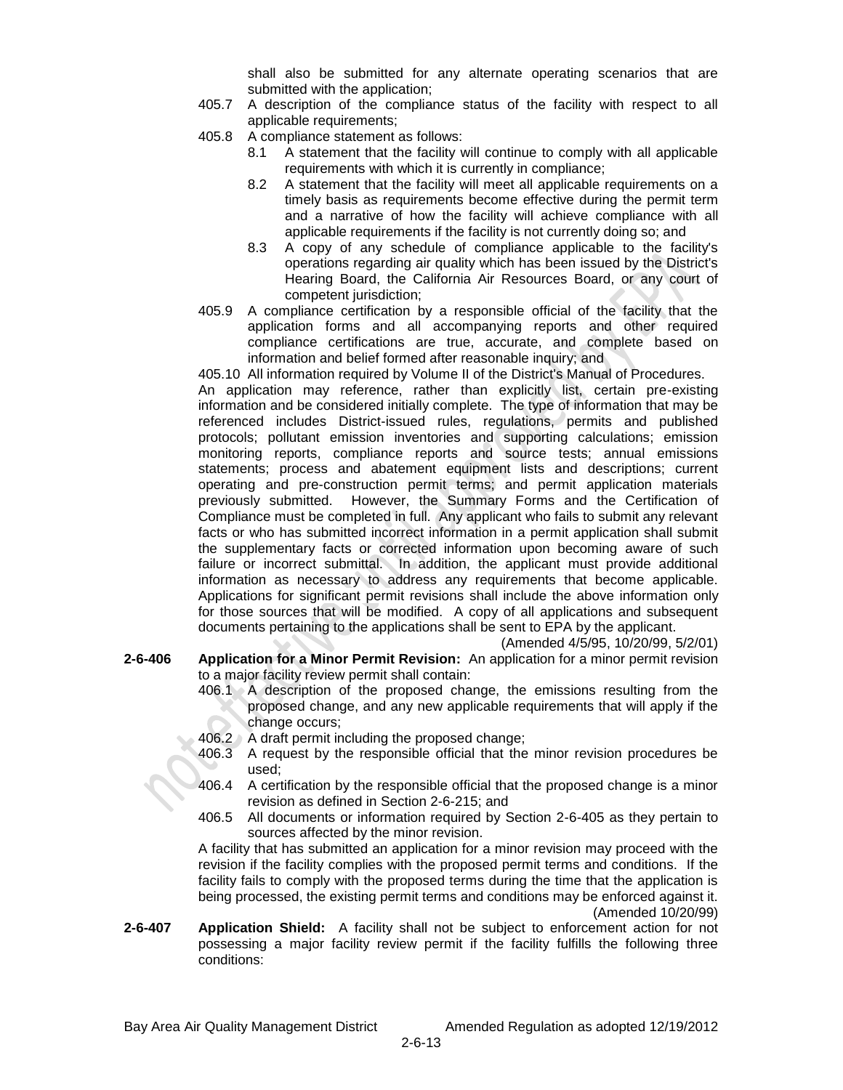shall also be submitted for any alternate operating scenarios that are submitted with the application;

- 405.7 A description of the compliance status of the facility with respect to all applicable requirements;
- 405.8 A compliance statement as follows:
	- 8.1 A statement that the facility will continue to comply with all applicable requirements with which it is currently in compliance;
	- 8.2 A statement that the facility will meet all applicable requirements on a timely basis as requirements become effective during the permit term and a narrative of how the facility will achieve compliance with all applicable requirements if the facility is not currently doing so; and
	- 8.3 A copy of any schedule of compliance applicable to the facility's operations regarding air quality which has been issued by the District's Hearing Board, the California Air Resources Board, or any court of competent jurisdiction;
- 405.9 A compliance certification by a responsible official of the facility that the application forms and all accompanying reports and other required compliance certifications are true, accurate, and complete based on information and belief formed after reasonable inquiry; and

405.10 All information required by Volume II of the District's Manual of Procedures. An application may reference, rather than explicitly list, certain pre-existing information and be considered initially complete. The type of information that may be referenced includes District-issued rules, regulations, permits and published protocols; pollutant emission inventories and supporting calculations; emission monitoring reports, compliance reports and source tests; annual emissions statements; process and abatement equipment lists and descriptions; current operating and pre-construction permit terms; and permit application materials previously submitted. However, the Summary Forms and the Certification of Compliance must be completed in full. Any applicant who fails to submit any relevant facts or who has submitted incorrect information in a permit application shall submit the supplementary facts or corrected information upon becoming aware of such failure or incorrect submittal. In addition, the applicant must provide additional information as necessary to address any requirements that become applicable. Applications for significant permit revisions shall include the above information only for those sources that will be modified. A copy of all applications and subsequent documents pertaining to the applications shall be sent to EPA by the applicant.

(Amended 4/5/95, 10/20/99, 5/2/01)

- **2-6-406 Application for a Minor Permit Revision:** An application for a minor permit revision to a major facility review permit shall contain:
	- 406.1 A description of the proposed change, the emissions resulting from the proposed change, and any new applicable requirements that will apply if the change occurs;
	- 406.2 A draft permit including the proposed change;
	- 406.3 A request by the responsible official that the minor revision procedures be used;
	- 406.4 A certification by the responsible official that the proposed change is a minor revision as defined in Section 2-6-215; and
	- 406.5 All documents or information required by Section 2-6-405 as they pertain to sources affected by the minor revision.

A facility that has submitted an application for a minor revision may proceed with the revision if the facility complies with the proposed permit terms and conditions. If the facility fails to comply with the proposed terms during the time that the application is being processed, the existing permit terms and conditions may be enforced against it. (Amended 10/20/99)

**2-6-407 Application Shield:** A facility shall not be subject to enforcement action for not possessing a major facility review permit if the facility fulfills the following three conditions: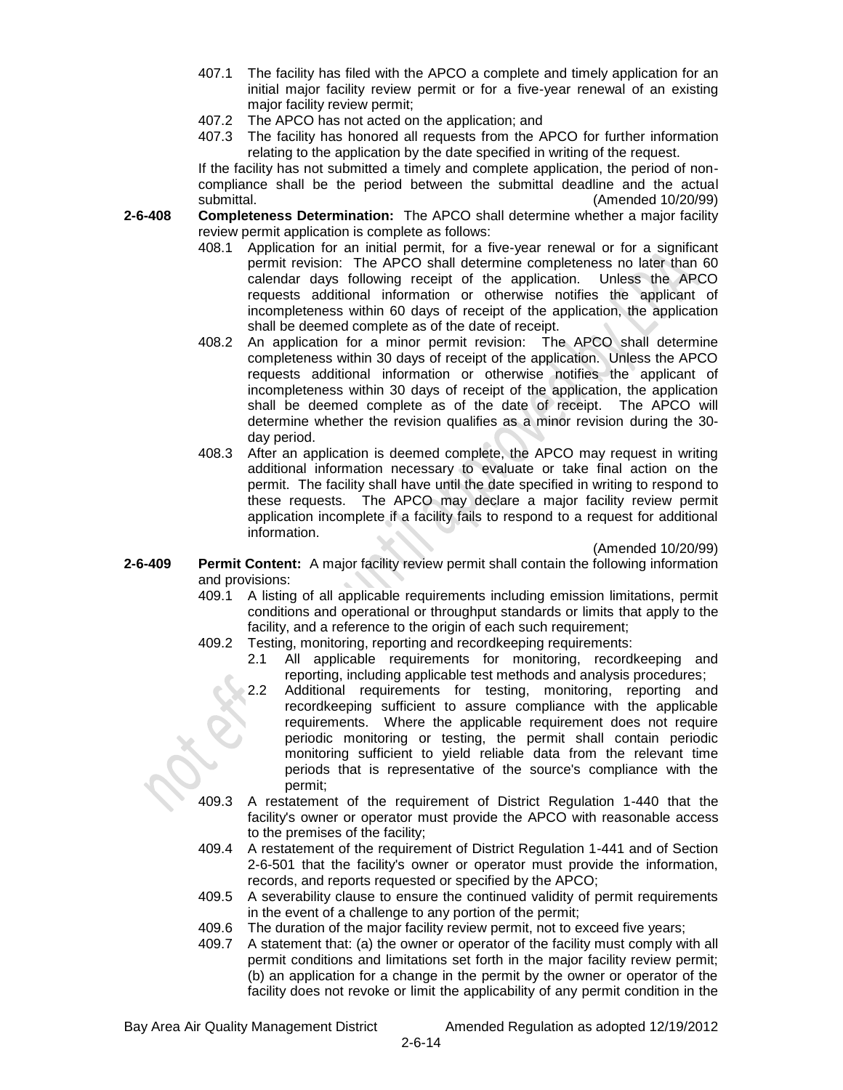- 407.1 The facility has filed with the APCO a complete and timely application for an initial major facility review permit or for a five-year renewal of an existing major facility review permit;
- 407.2 The APCO has not acted on the application; and
- 407.3 The facility has honored all requests from the APCO for further information relating to the application by the date specified in writing of the request.

If the facility has not submitted a timely and complete application, the period of noncompliance shall be the period between the submittal deadline and the actual submittal. (Amended 10/20/99)

- **2-6-408 Completeness Determination:** The APCO shall determine whether a major facility review permit application is complete as follows:
	- 408.1 Application for an initial permit, for a five-year renewal or for a significant permit revision: The APCO shall determine completeness no later than 60 calendar days following receipt of the application. Unless the APCO requests additional information or otherwise notifies the applicant of incompleteness within 60 days of receipt of the application, the application shall be deemed complete as of the date of receipt.
	- 408.2 An application for a minor permit revision: The APCO shall determine completeness within 30 days of receipt of the application. Unless the APCO requests additional information or otherwise notifies the applicant of incompleteness within 30 days of receipt of the application, the application shall be deemed complete as of the date of receipt. The APCO will determine whether the revision qualifies as a minor revision during the 30 day period.
	- 408.3 After an application is deemed complete, the APCO may request in writing additional information necessary to evaluate or take final action on the permit. The facility shall have until the date specified in writing to respond to these requests. The APCO may declare a major facility review permit application incomplete if a facility fails to respond to a request for additional information.

(Amended 10/20/99)

- **2-6-409 Permit Content:** A major facility review permit shall contain the following information and provisions:
	- 409.1 A listing of all applicable requirements including emission limitations, permit conditions and operational or throughput standards or limits that apply to the facility, and a reference to the origin of each such requirement;
	- 409.2 Testing, monitoring, reporting and recordkeeping requirements:
		- 2.1 All applicable requirements for monitoring, recordkeeping and reporting, including applicable test methods and analysis procedures;
		- 2.2 Additional requirements for testing, monitoring, reporting and recordkeeping sufficient to assure compliance with the applicable requirements. Where the applicable requirement does not require periodic monitoring or testing, the permit shall contain periodic monitoring sufficient to yield reliable data from the relevant time periods that is representative of the source's compliance with the permit;
	- 409.3 A restatement of the requirement of District Regulation 1-440 that the facility's owner or operator must provide the APCO with reasonable access to the premises of the facility;
	- 409.4 A restatement of the requirement of District Regulation 1-441 and of Section 2-6-501 that the facility's owner or operator must provide the information, records, and reports requested or specified by the APCO;
	- 409.5 A severability clause to ensure the continued validity of permit requirements in the event of a challenge to any portion of the permit;
	- 409.6 The duration of the major facility review permit, not to exceed five years;
	- 409.7 A statement that: (a) the owner or operator of the facility must comply with all permit conditions and limitations set forth in the major facility review permit; (b) an application for a change in the permit by the owner or operator of the facility does not revoke or limit the applicability of any permit condition in the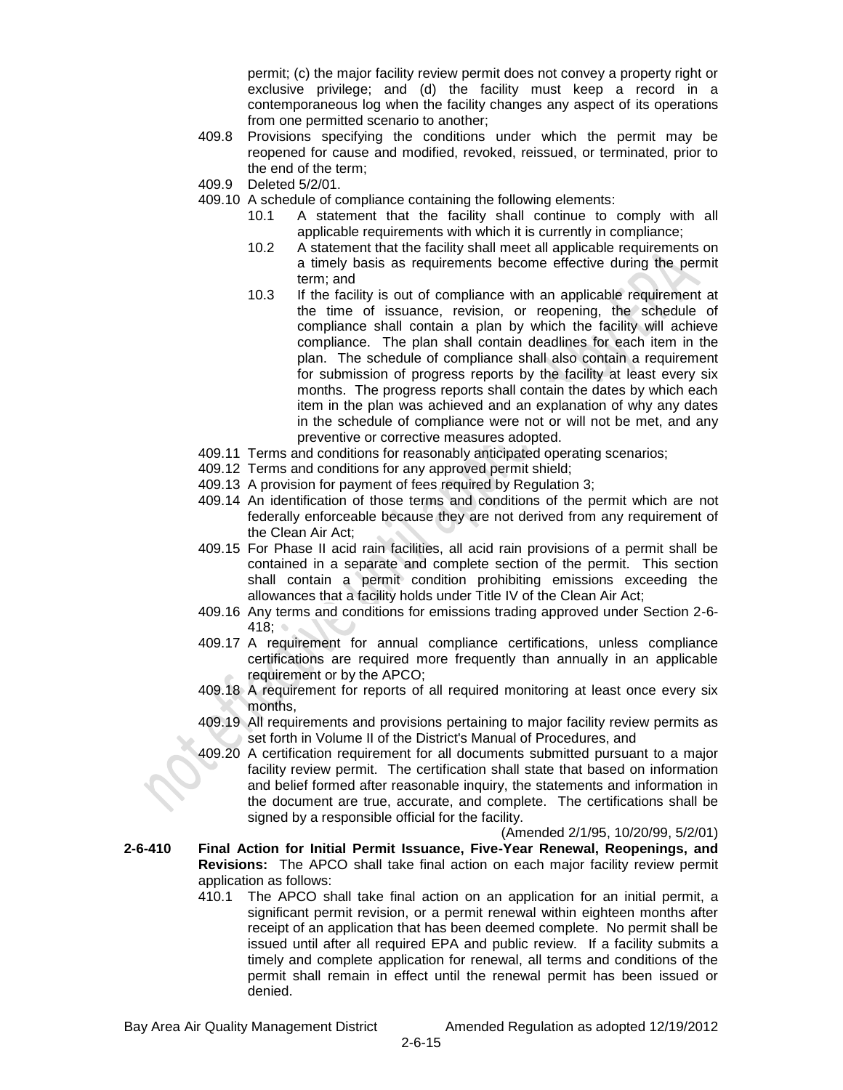permit; (c) the major facility review permit does not convey a property right or exclusive privilege; and (d) the facility must keep a record in a contemporaneous log when the facility changes any aspect of its operations from one permitted scenario to another;

- 409.8 Provisions specifying the conditions under which the permit may be reopened for cause and modified, revoked, reissued, or terminated, prior to the end of the term;
- 409.9 Deleted 5/2/01.
- 409.10 A schedule of compliance containing the following elements:
	- 10.1 A statement that the facility shall continue to comply with all applicable requirements with which it is currently in compliance;
	- 10.2 A statement that the facility shall meet all applicable requirements on a timely basis as requirements become effective during the permit term; and
	- 10.3 If the facility is out of compliance with an applicable requirement at the time of issuance, revision, or reopening, the schedule of compliance shall contain a plan by which the facility will achieve compliance. The plan shall contain deadlines for each item in the plan. The schedule of compliance shall also contain a requirement for submission of progress reports by the facility at least every six months. The progress reports shall contain the dates by which each item in the plan was achieved and an explanation of why any dates in the schedule of compliance were not or will not be met, and any preventive or corrective measures adopted.
- 409.11 Terms and conditions for reasonably anticipated operating scenarios;
- 409.12 Terms and conditions for any approved permit shield;
- 409.13 A provision for payment of fees required by Regulation 3;
- 409.14 An identification of those terms and conditions of the permit which are not federally enforceable because they are not derived from any requirement of the Clean Air Act;
- 409.15 For Phase II acid rain facilities, all acid rain provisions of a permit shall be contained in a separate and complete section of the permit. This section shall contain a permit condition prohibiting emissions exceeding the allowances that a facility holds under Title IV of the Clean Air Act;
- 409.16 Any terms and conditions for emissions trading approved under Section 2-6- 418;
- 409.17 A requirement for annual compliance certifications, unless compliance certifications are required more frequently than annually in an applicable requirement or by the APCO;
- 409.18 A requirement for reports of all required monitoring at least once every six months,
- 409.19 All requirements and provisions pertaining to major facility review permits as set forth in Volume II of the District's Manual of Procedures, and
- 409.20 A certification requirement for all documents submitted pursuant to a major facility review permit. The certification shall state that based on information and belief formed after reasonable inquiry, the statements and information in the document are true, accurate, and complete. The certifications shall be signed by a responsible official for the facility.

(Amended 2/1/95, 10/20/99, 5/2/01)

- **2-6-410 Final Action for Initial Permit Issuance, Five-Year Renewal, Reopenings, and Revisions:** The APCO shall take final action on each major facility review permit application as follows:
	- 410.1 The APCO shall take final action on an application for an initial permit, a significant permit revision, or a permit renewal within eighteen months after receipt of an application that has been deemed complete. No permit shall be issued until after all required EPA and public review. If a facility submits a timely and complete application for renewal, all terms and conditions of the permit shall remain in effect until the renewal permit has been issued or denied.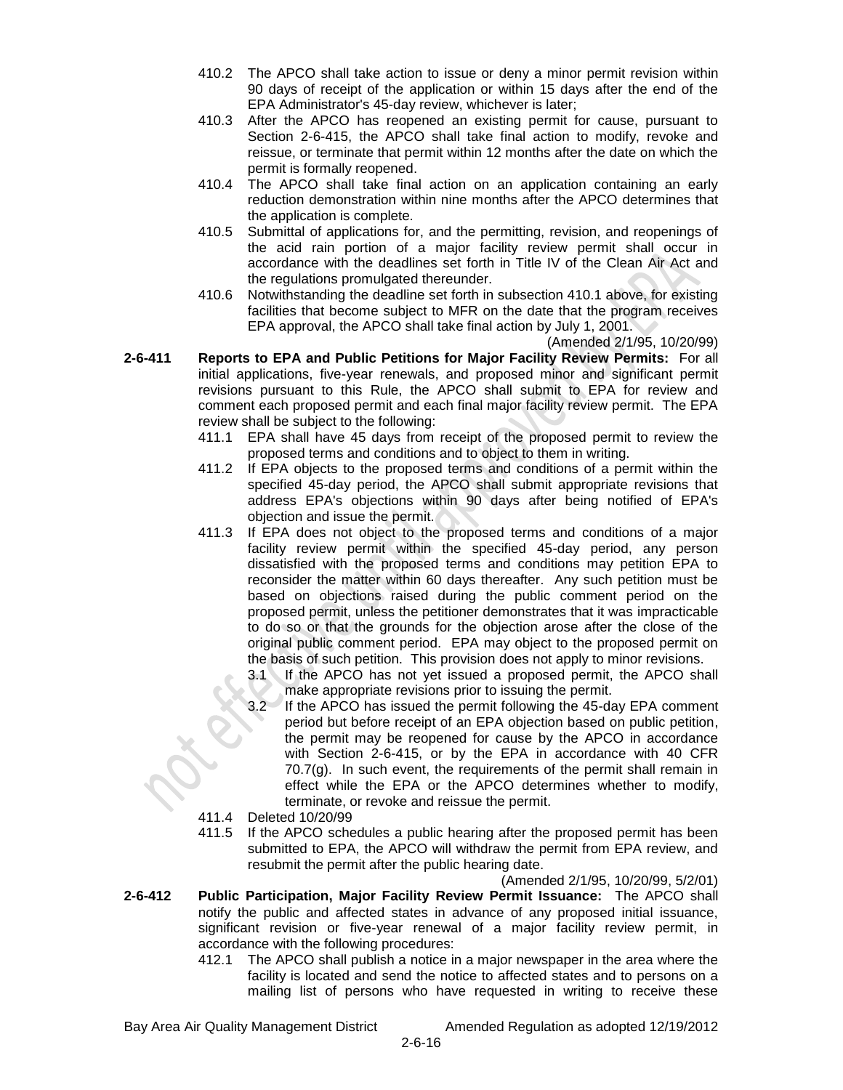- 410.2 The APCO shall take action to issue or deny a minor permit revision within 90 days of receipt of the application or within 15 days after the end of the EPA Administrator's 45-day review, whichever is later;
- 410.3 After the APCO has reopened an existing permit for cause, pursuant to Section 2-6-415, the APCO shall take final action to modify, revoke and reissue, or terminate that permit within 12 months after the date on which the permit is formally reopened.
- 410.4 The APCO shall take final action on an application containing an early reduction demonstration within nine months after the APCO determines that the application is complete.
- 410.5 Submittal of applications for, and the permitting, revision, and reopenings of the acid rain portion of a major facility review permit shall occur in accordance with the deadlines set forth in Title IV of the Clean Air Act and the regulations promulgated thereunder.
- 410.6 Notwithstanding the deadline set forth in subsection 410.1 above, for existing facilities that become subject to MFR on the date that the program receives EPA approval, the APCO shall take final action by July 1, 2001.

(Amended 2/1/95, 10/20/99)

- **2-6-411 Reports to EPA and Public Petitions for Major Facility Review Permits:** For all initial applications, five-year renewals, and proposed minor and significant permit revisions pursuant to this Rule, the APCO shall submit to EPA for review and comment each proposed permit and each final major facility review permit. The EPA review shall be subject to the following:
	- 411.1 EPA shall have 45 days from receipt of the proposed permit to review the proposed terms and conditions and to object to them in writing.
	- 411.2 If EPA objects to the proposed terms and conditions of a permit within the specified 45-day period, the APCO shall submit appropriate revisions that address EPA's objections within 90 days after being notified of EPA's objection and issue the permit.
	- 411.3 If EPA does not object to the proposed terms and conditions of a major facility review permit within the specified 45-day period, any person dissatisfied with the proposed terms and conditions may petition EPA to reconsider the matter within 60 days thereafter. Any such petition must be based on objections raised during the public comment period on the proposed permit, unless the petitioner demonstrates that it was impracticable to do so or that the grounds for the objection arose after the close of the original public comment period. EPA may object to the proposed permit on the basis of such petition. This provision does not apply to minor revisions.
		- 3.1 If the APCO has not yet issued a proposed permit, the APCO shall make appropriate revisions prior to issuing the permit.
		- 3.2 If the APCO has issued the permit following the 45-day EPA comment period but before receipt of an EPA objection based on public petition, the permit may be reopened for cause by the APCO in accordance with Section 2-6-415, or by the EPA in accordance with 40 CFR 70.7(g). In such event, the requirements of the permit shall remain in effect while the EPA or the APCO determines whether to modify, terminate, or revoke and reissue the permit.
	- 411.4 Deleted 10/20/99
	- 411.5 If the APCO schedules a public hearing after the proposed permit has been submitted to EPA, the APCO will withdraw the permit from EPA review, and resubmit the permit after the public hearing date.

(Amended 2/1/95, 10/20/99, 5/2/01)

- **2-6-412 Public Participation, Major Facility Review Permit Issuance:** The APCO shall notify the public and affected states in advance of any proposed initial issuance, significant revision or five-year renewal of a major facility review permit, in accordance with the following procedures:
	- 412.1 The APCO shall publish a notice in a major newspaper in the area where the facility is located and send the notice to affected states and to persons on a mailing list of persons who have requested in writing to receive these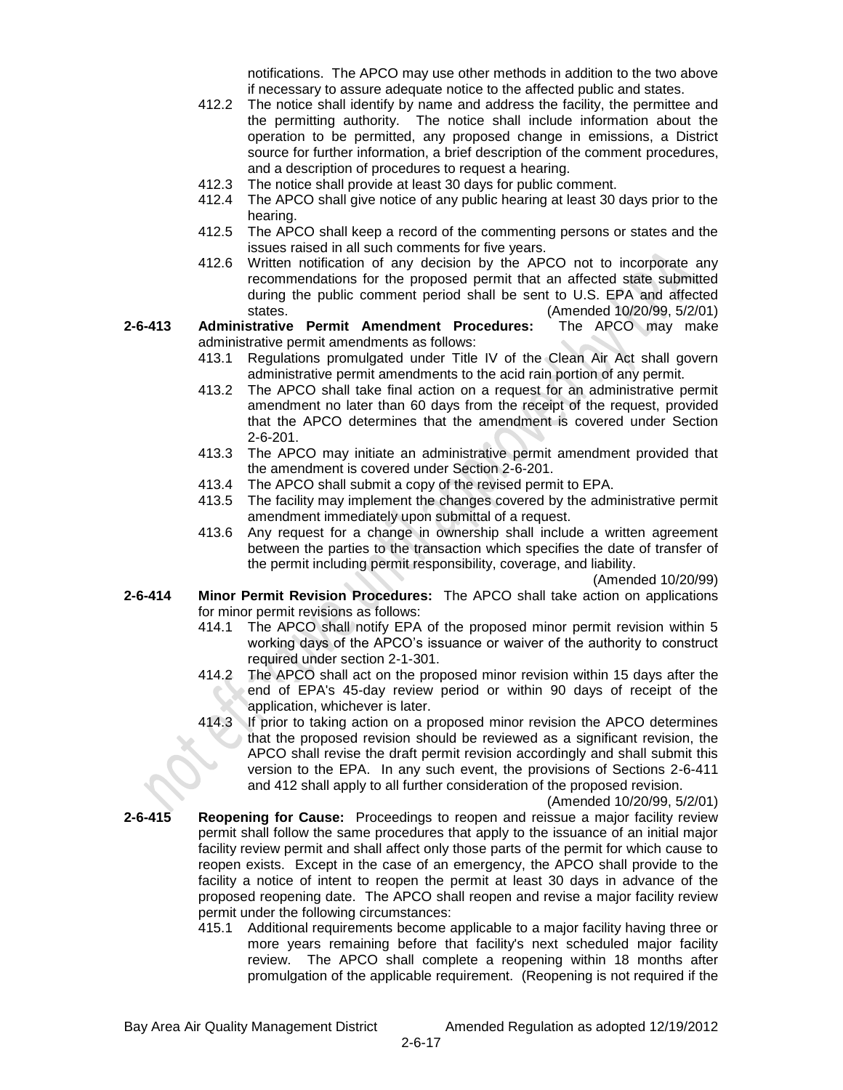notifications. The APCO may use other methods in addition to the two above if necessary to assure adequate notice to the affected public and states.

- 412.2 The notice shall identify by name and address the facility, the permittee and the permitting authority. The notice shall include information about the operation to be permitted, any proposed change in emissions, a District source for further information, a brief description of the comment procedures, and a description of procedures to request a hearing.
- 412.3 The notice shall provide at least 30 days for public comment.
- 412.4 The APCO shall give notice of any public hearing at least 30 days prior to the hearing.
- 412.5 The APCO shall keep a record of the commenting persons or states and the issues raised in all such comments for five years.
- 412.6 Written notification of any decision by the APCO not to incorporate any recommendations for the proposed permit that an affected state submitted during the public comment period shall be sent to U.S. EPA and affected states. (Amended 10/20/99, 5/2/01)
- **2-6-413 Administrative Permit Amendment Procedures:** The APCO may make administrative permit amendments as follows:
	- 413.1 Regulations promulgated under Title IV of the Clean Air Act shall govern administrative permit amendments to the acid rain portion of any permit.
	- 413.2 The APCO shall take final action on a request for an administrative permit amendment no later than 60 days from the receipt of the request, provided that the APCO determines that the amendment is covered under Section 2-6-201.
	- 413.3 The APCO may initiate an administrative permit amendment provided that the amendment is covered under Section 2-6-201.
	- 413.4 The APCO shall submit a copy of the revised permit to EPA.
	- 413.5 The facility may implement the changes covered by the administrative permit amendment immediately upon submittal of a request.
	- 413.6 Any request for a change in ownership shall include a written agreement between the parties to the transaction which specifies the date of transfer of the permit including permit responsibility, coverage, and liability.

(Amended 10/20/99)

- **2-6-414 Minor Permit Revision Procedures:** The APCO shall take action on applications for minor permit revisions as follows:
	- 414.1 The APCO shall notify EPA of the proposed minor permit revision within 5 working days of the APCO's issuance or waiver of the authority to construct required under section 2-1-301.
	- 414.2 The APCO shall act on the proposed minor revision within 15 days after the end of EPA's 45-day review period or within 90 days of receipt of the application, whichever is later.
	- 414.3 If prior to taking action on a proposed minor revision the APCO determines that the proposed revision should be reviewed as a significant revision, the APCO shall revise the draft permit revision accordingly and shall submit this version to the EPA. In any such event, the provisions of Sections 2-6-411 and 412 shall apply to all further consideration of the proposed revision.

(Amended 10/20/99, 5/2/01)

- **2-6-415 Reopening for Cause:** Proceedings to reopen and reissue a major facility review permit shall follow the same procedures that apply to the issuance of an initial major facility review permit and shall affect only those parts of the permit for which cause to reopen exists. Except in the case of an emergency, the APCO shall provide to the facility a notice of intent to reopen the permit at least 30 days in advance of the proposed reopening date. The APCO shall reopen and revise a major facility review permit under the following circumstances:
	- 415.1 Additional requirements become applicable to a major facility having three or more years remaining before that facility's next scheduled major facility review. The APCO shall complete a reopening within 18 months after promulgation of the applicable requirement. (Reopening is not required if the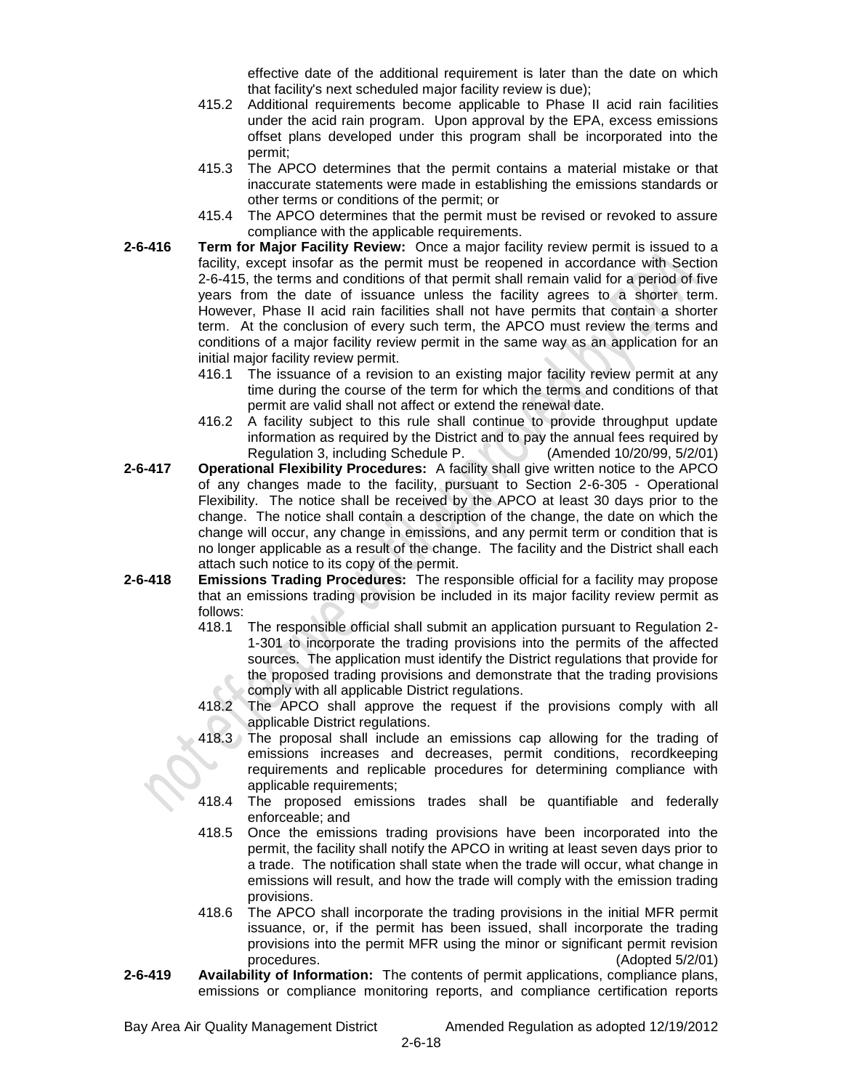effective date of the additional requirement is later than the date on which that facility's next scheduled major facility review is due);

- 415.2 Additional requirements become applicable to Phase II acid rain facilities under the acid rain program. Upon approval by the EPA, excess emissions offset plans developed under this program shall be incorporated into the permit;
- 415.3 The APCO determines that the permit contains a material mistake or that inaccurate statements were made in establishing the emissions standards or other terms or conditions of the permit; or
- 415.4 The APCO determines that the permit must be revised or revoked to assure compliance with the applicable requirements.
- **2-6-416 Term for Major Facility Review:** Once a major facility review permit is issued to a facility, except insofar as the permit must be reopened in accordance with Section 2-6-415, the terms and conditions of that permit shall remain valid for a period of five years from the date of issuance unless the facility agrees to a shorter term. However, Phase II acid rain facilities shall not have permits that contain a shorter term. At the conclusion of every such term, the APCO must review the terms and conditions of a major facility review permit in the same way as an application for an initial major facility review permit.
	- 416.1 The issuance of a revision to an existing major facility review permit at any time during the course of the term for which the terms and conditions of that permit are valid shall not affect or extend the renewal date.
	- 416.2 A facility subject to this rule shall continue to provide throughput update information as required by the District and to pay the annual fees required by Regulation 3, including Schedule P. (Amended 10/20/99, 5/2/01)
- **2-6-417 Operational Flexibility Procedures:** A facility shall give written notice to the APCO of any changes made to the facility, pursuant to Section 2-6-305 - Operational Flexibility. The notice shall be received by the APCO at least 30 days prior to the change. The notice shall contain a description of the change, the date on which the change will occur, any change in emissions, and any permit term or condition that is no longer applicable as a result of the change. The facility and the District shall each attach such notice to its copy of the permit.
- **2-6-418 Emissions Trading Procedures:** The responsible official for a facility may propose that an emissions trading provision be included in its major facility review permit as follows:
	- 418.1 The responsible official shall submit an application pursuant to Regulation 2- 1-301 to incorporate the trading provisions into the permits of the affected sources. The application must identify the District regulations that provide for the proposed trading provisions and demonstrate that the trading provisions comply with all applicable District regulations.
	- 418.2 The APCO shall approve the request if the provisions comply with all applicable District regulations.
	- 418.3 The proposal shall include an emissions cap allowing for the trading of emissions increases and decreases, permit conditions, recordkeeping requirements and replicable procedures for determining compliance with applicable requirements;
	- 418.4 The proposed emissions trades shall be quantifiable and federally enforceable; and
	- 418.5 Once the emissions trading provisions have been incorporated into the permit, the facility shall notify the APCO in writing at least seven days prior to a trade. The notification shall state when the trade will occur, what change in emissions will result, and how the trade will comply with the emission trading provisions.
	- 418.6 The APCO shall incorporate the trading provisions in the initial MFR permit issuance, or, if the permit has been issued, shall incorporate the trading provisions into the permit MFR using the minor or significant permit revision procedures. (Adopted 5/2/01)
- **2-6-419 Availability of Information:** The contents of permit applications, compliance plans, emissions or compliance monitoring reports, and compliance certification reports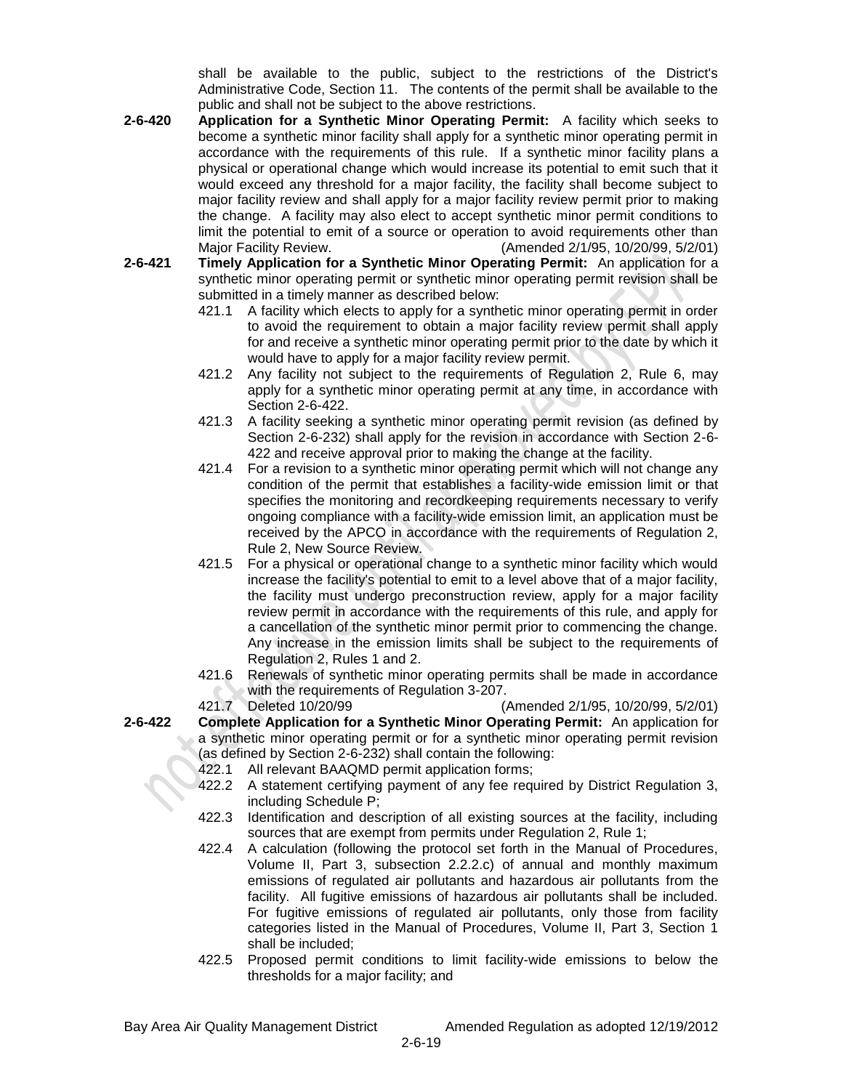shall be available to the public, subject to the restrictions of the District's Administrative Code, Section 11. The contents of the permit shall be available to the public and shall not be subject to the above restrictions.

- **2-6-420 Application for a Synthetic Minor Operating Permit:** A facility which seeks to become a synthetic minor facility shall apply for a synthetic minor operating permit in accordance with the requirements of this rule. If a synthetic minor facility plans a physical or operational change which would increase its potential to emit such that it would exceed any threshold for a major facility, the facility shall become subject to major facility review and shall apply for a major facility review permit prior to making the change. A facility may also elect to accept synthetic minor permit conditions to limit the potential to emit of a source or operation to avoid requirements other than Major Facility Review. (Amended 2/1/95, 10/20/99, 5/2/01)
- **2-6-421 Timely Application for a Synthetic Minor Operating Permit:** An application for a synthetic minor operating permit or synthetic minor operating permit revision shall be submitted in a timely manner as described below:
	- 421.1 A facility which elects to apply for a synthetic minor operating permit in order to avoid the requirement to obtain a major facility review permit shall apply for and receive a synthetic minor operating permit prior to the date by which it would have to apply for a major facility review permit.
	- 421.2 Any facility not subject to the requirements of Regulation 2, Rule 6, may apply for a synthetic minor operating permit at any time, in accordance with Section 2-6-422.
	- 421.3 A facility seeking a synthetic minor operating permit revision (as defined by Section 2-6-232) shall apply for the revision in accordance with Section 2-6- 422 and receive approval prior to making the change at the facility.
	- 421.4 For a revision to a synthetic minor operating permit which will not change any condition of the permit that establishes a facility-wide emission limit or that specifies the monitoring and recordkeeping requirements necessary to verify ongoing compliance with a facility-wide emission limit, an application must be received by the APCO in accordance with the requirements of Regulation 2, Rule 2, New Source Review.
	- 421.5 For a physical or operational change to a synthetic minor facility which would increase the facility's potential to emit to a level above that of a major facility, the facility must undergo preconstruction review, apply for a major facility review permit in accordance with the requirements of this rule, and apply for a cancellation of the synthetic minor permit prior to commencing the change. Any increase in the emission limits shall be subject to the requirements of Regulation 2, Rules 1 and 2.
	- 421.6 Renewals of synthetic minor operating permits shall be made in accordance with the requirements of Regulation 3-207.

421.7 Deleted 10/20/99 (Amended 2/1/95, 10/20/99, 5/2/01) **2-6-422 Complete Application for a Synthetic Minor Operating Permit:** An application for a synthetic minor operating permit or for a synthetic minor operating permit revision (as defined by Section 2-6-232) shall contain the following:

- 422.1 All relevant BAAQMD permit application forms;
- 422.2 A statement certifying payment of any fee required by District Regulation 3, including Schedule P;
- 422.3 Identification and description of all existing sources at the facility, including sources that are exempt from permits under Regulation 2, Rule 1;
- 422.4 A calculation (following the protocol set forth in the Manual of Procedures, Volume II, Part 3, subsection 2.2.2.c) of annual and monthly maximum emissions of regulated air pollutants and hazardous air pollutants from the facility. All fugitive emissions of hazardous air pollutants shall be included. For fugitive emissions of regulated air pollutants, only those from facility categories listed in the Manual of Procedures, Volume II, Part 3, Section 1 shall be included;
- 422.5 Proposed permit conditions to limit facility-wide emissions to below the thresholds for a major facility; and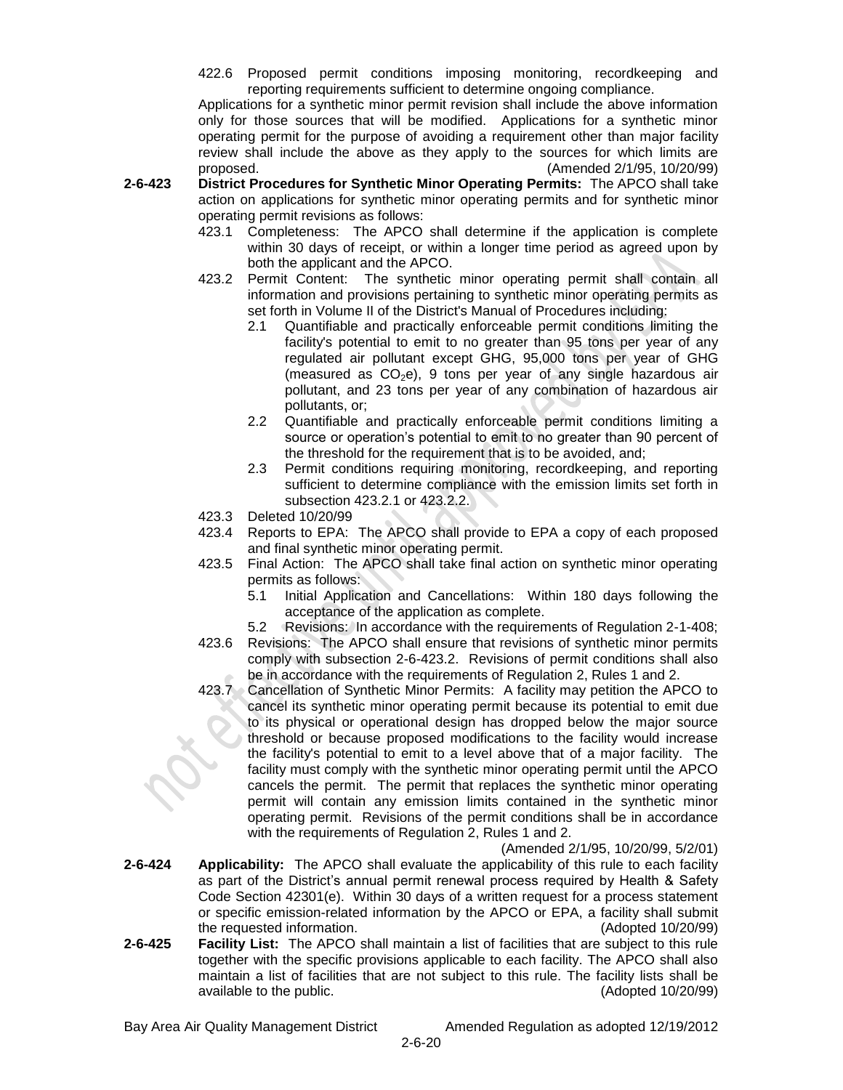422.6 Proposed permit conditions imposing monitoring, recordkeeping and reporting requirements sufficient to determine ongoing compliance.

Applications for a synthetic minor permit revision shall include the above information only for those sources that will be modified. Applications for a synthetic minor operating permit for the purpose of avoiding a requirement other than major facility review shall include the above as they apply to the sources for which limits are proposed. (Amended 2/1/95, 10/20/99)

- **2-6-423 District Procedures for Synthetic Minor Operating Permits:** The APCO shall take action on applications for synthetic minor operating permits and for synthetic minor operating permit revisions as follows:
	- 423.1 Completeness: The APCO shall determine if the application is complete within 30 days of receipt, or within a longer time period as agreed upon by both the applicant and the APCO.
	- 423.2 Permit Content: The synthetic minor operating permit shall contain all information and provisions pertaining to synthetic minor operating permits as set forth in Volume II of the District's Manual of Procedures including:
		- 2.1 Quantifiable and practically enforceable permit conditions limiting the facility's potential to emit to no greater than 95 tons per year of any regulated air pollutant except GHG, 95,000 tons per year of GHG (measured as  $CO<sub>2</sub>e$ ), 9 tons per year of any single hazardous air pollutant, and 23 tons per year of any combination of hazardous air pollutants, or;
		- 2.2 Quantifiable and practically enforceable permit conditions limiting a source or operation's potential to emit to no greater than 90 percent of the threshold for the requirement that is to be avoided, and;
		- 2.3 Permit conditions requiring monitoring, recordkeeping, and reporting sufficient to determine compliance with the emission limits set forth in subsection 423.2.1 or 423.2.2.
	- 423.3 Deleted 10/20/99
	- 423.4 Reports to EPA: The APCO shall provide to EPA a copy of each proposed and final synthetic minor operating permit.
	- 423.5 Final Action: The APCO shall take final action on synthetic minor operating permits as follows:
		- 5.1 Initial Application and Cancellations: Within 180 days following the acceptance of the application as complete.
		- 5.2 Revisions: In accordance with the requirements of Regulation 2-1-408;
	- 423.6 Revisions: The APCO shall ensure that revisions of synthetic minor permits comply with subsection 2-6-423.2. Revisions of permit conditions shall also be in accordance with the requirements of Regulation 2, Rules 1 and 2.
	- 423.7 Cancellation of Synthetic Minor Permits: A facility may petition the APCO to cancel its synthetic minor operating permit because its potential to emit due to its physical or operational design has dropped below the major source threshold or because proposed modifications to the facility would increase the facility's potential to emit to a level above that of a major facility. The facility must comply with the synthetic minor operating permit until the APCO cancels the permit. The permit that replaces the synthetic minor operating permit will contain any emission limits contained in the synthetic minor operating permit. Revisions of the permit conditions shall be in accordance with the requirements of Regulation 2, Rules 1 and 2.

(Amended 2/1/95, 10/20/99, 5/2/01)

- **2-6-424 Applicability:** The APCO shall evaluate the applicability of this rule to each facility as part of the District's annual permit renewal process required by Health & Safety Code Section 42301(e). Within 30 days of a written request for a process statement or specific emission-related information by the APCO or EPA, a facility shall submit the requested information. (Adopted 10/20/99)
- **2-6-425 Facility List:** The APCO shall maintain a list of facilities that are subject to this rule together with the specific provisions applicable to each facility. The APCO shall also maintain a list of facilities that are not subject to this rule. The facility lists shall be available to the public. (Adopted 10/20/99)